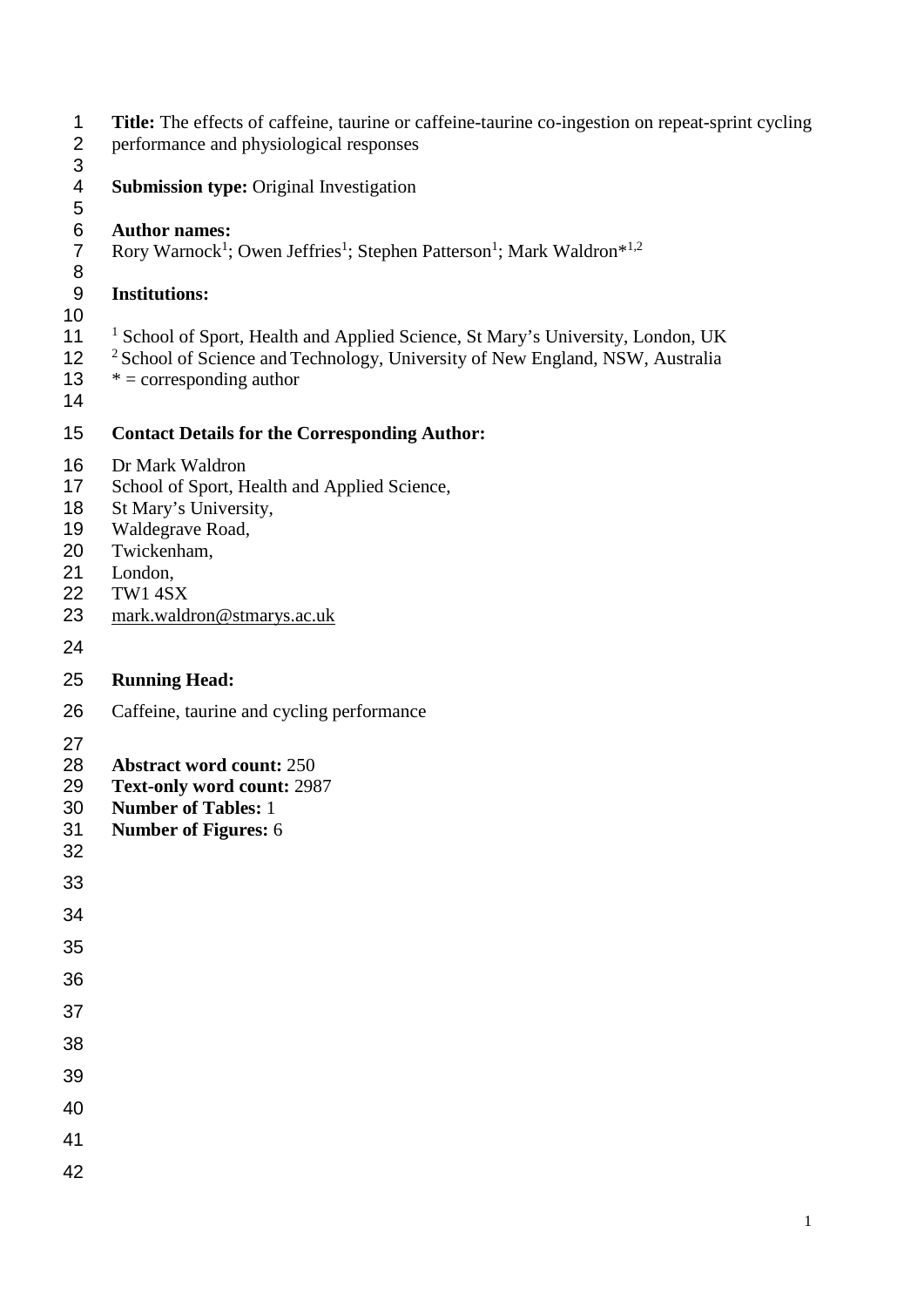- 1 **Title:** The effects of caffeine, taurine or caffeine-taurine co-ingestion on repeat-sprint cycling performance and physiological responses
- performance and physiological responses
- 
- **Submission type:** Original Investigation

 **Author names:** 7 Rory Warnock<sup>1</sup>; Owen Jeffries<sup>1</sup>; Stephen Patterson<sup>1</sup>; Mark Waldron<sup>\*1,2</sup>

#### **Institutions:**

#### 

- 11 <sup>1</sup> School of Sport, Health and Applied Science, St Mary's University, London, UK
- <sup>2</sup> School of Science and Technology, University of New England, NSW, Australia
- 13  $* =$  corresponding author
- 

### **Contact Details for the Corresponding Author:**

- Dr Mark Waldron
- 17 School of Sport, Health and Applied Science,
- 18 St Mary's University,
- Waldegrave Road,
- Twickenham,
- London,
- TW1 4SX
- [mark.waldron@stmarys.ac.uk](mailto:mark.waldron@stmarys.ac.uk)
- 

#### **Running Head:**

- Caffeine, taurine and cycling performance
- 
- **Abstract word count:** 250
- **Text-only word count:** 2987
- **Number of Tables:** 1
- **Number of Figures:** 6
- 
- 
- 
- 
- 
- 
- 
- 
- 
- 
- 
- 
-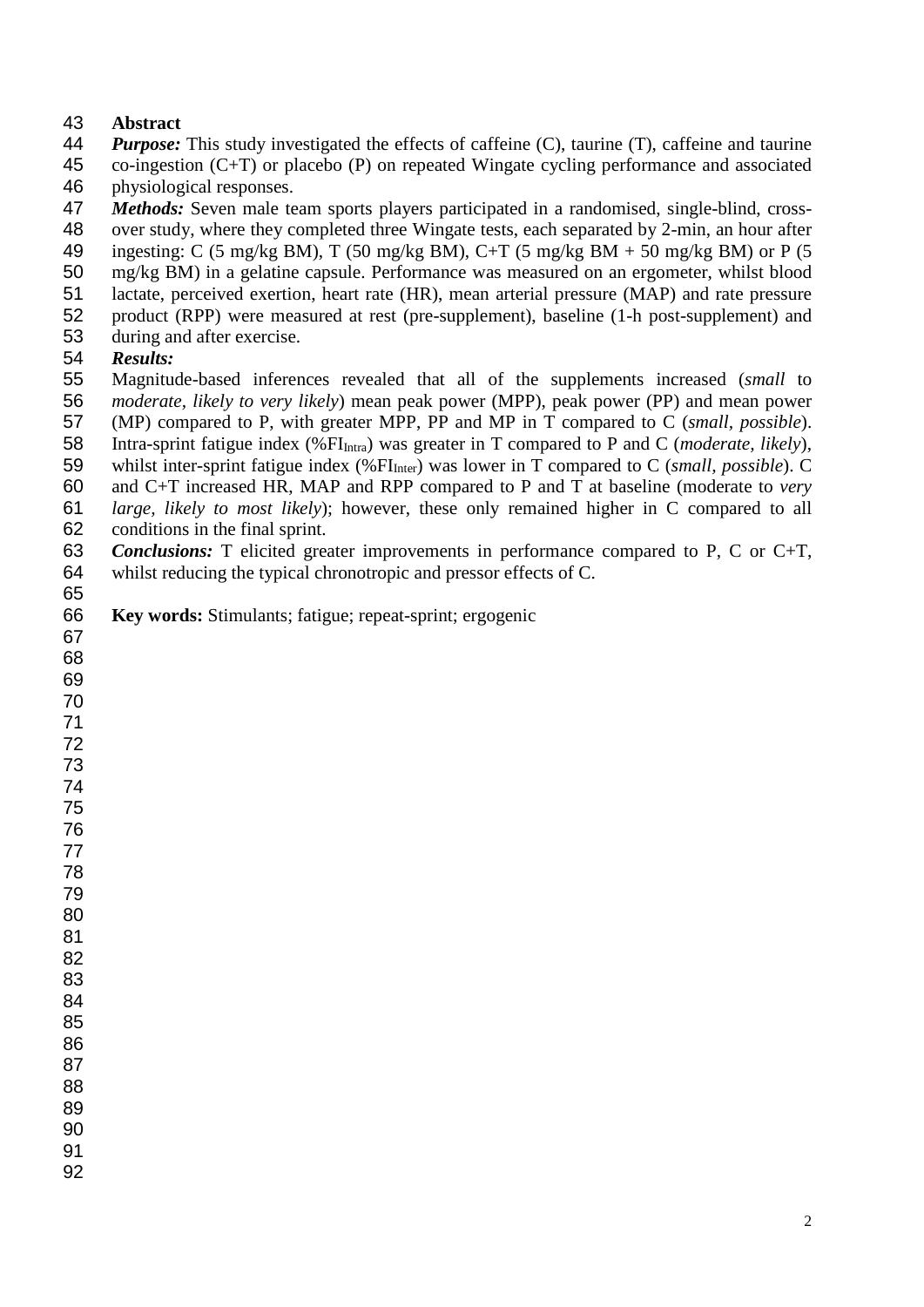#### **Abstract**

- *Purpose:* This study investigated the effects of caffeine (C), taurine (T), caffeine and taurine co-ingestion (C+T) or placebo (P) on repeated Wingate cycling performance and associated physiological responses.
- *Methods:* Seven male team sports players participated in a randomised, single-blind, cross-
- over study, where they completed three Wingate tests, each separated by 2-min, an hour after
- 49 ingesting: C (5 mg/kg BM), T (50 mg/kg BM), C+T (5 mg/kg BM + 50 mg/kg BM) or P (5
- mg/kg BM) in a gelatine capsule. Performance was measured on an ergometer, whilst blood
- lactate, perceived exertion, heart rate (HR), mean arterial pressure (MAP) and rate pressure
- product (RPP) were measured at rest (pre-supplement), baseline (1-h post-supplement) and
- during and after exercise.

#### *Results:*

- Magnitude-based inferences revealed that all of the supplements increased (*small* to *moderate, likely to very likely*) mean peak power (MPP), peak power (PP) and mean power
- (MP) compared to P, with greater MPP, PP and MP in T compared to C (*small, possible*).
- 58 Intra-sprint fatigue index (%FI<sub>Intra</sub>) was greater in T compared to P and C (*moderate, likely*),
- 59 whilst inter-sprint fatigue index (%FI<sub>Inter</sub>) was lower in T compared to C (*small, possible*). C
- and C+T increased HR, MAP and RPP compared to P and T at baseline (moderate to *very*
- *large, likely to most likely*); however, these only remained higher in C compared to all conditions in the final sprint.
- *Conclusions:* T elicited greater improvements in performance compared to P, C or C+T,

- whilst reducing the typical chronotropic and pressor effects of C.
- **Key words:** Stimulants; fatigue; repeat-sprint; ergogenic
-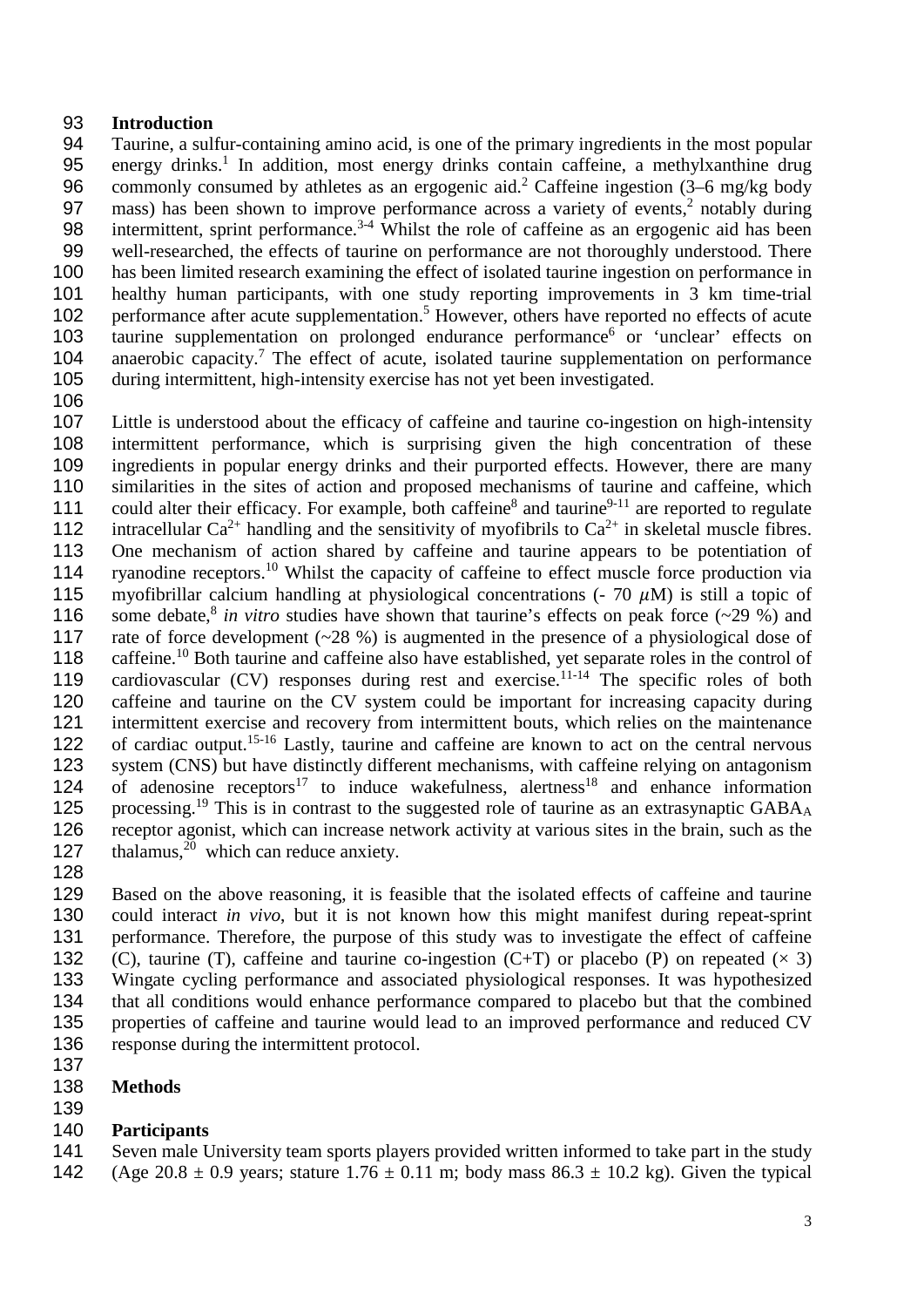#### 93 **Introduction**

94 Taurine, a sulfur-containing amino acid, is one of the primary ingredients in the most popular 95 energy drinks.<sup>1</sup> In addition, most energy drinks contain caffeine, a methylxanthine drug 96 commonly consumed by athletes as an ergogenic aid.<sup>2</sup> Caffeine ingestion  $(3-6 \text{ mg/kg}$  body 97 mass) has been shown to improve performance across a variety of events,<sup>2</sup> notably during 98 intermittent, sprint performance.<sup> $3-4$ </sup> Whilst the role of caffeine as an ergogenic aid has been 99 well-researched, the effects of taurine on performance are not thoroughly understood. There 100 has been limited research examining the effect of isolated taurine ingestion on performance in 101 healthy human participants, with one study reporting improvements in 3 km time-trial<br>102 performance after acute supplementation.<sup>5</sup> However, others have reported no effects of acute 102 performance after acute supplementation.<sup>5</sup> However, others have reported no effects of acute taurine supplementation on prolonged endurance performance<sup>6</sup> or 'unclear' effects on taurine supplementation on prolonged endurance performance<sup>6</sup> or 'unclear' effects on 104 anaerobic capacity.<sup>7</sup> The effect of acute, isolated taurine supplementation on performance 105 during intermittent, high-intensity exercise has not yet been investigated.

106

107 Little is understood about the efficacy of caffeine and taurine co-ingestion on high-intensity 108 intermittent performance, which is surprising given the high concentration of these 109 ingredients in popular energy drinks and their purported effects. However, there are many 110 similarities in the sites of action and proposed mechanisms of taurine and caffeine, which 111 could alter their efficacy. For example, both caffeine<sup>8</sup> and taurine<sup>9-11</sup> are reported to regulate 112 intracellular  $Ca^{2+}$  handling and the sensitivity of myofibrils to  $Ca^{2+}$  in skeletal muscle fibres. 113 One mechanism of action shared by caffeine and taurine appears to be potentiation of 114 ryanodine receptors.<sup>10</sup> Whilst the capacity of caffeine to effect muscle force production via 115 myofibrillar calcium handling at physiological concentrations (- 70  $\mu$ M) is still a topic of 116 some debate,<sup>8</sup> in vitro studies have shown that taurine's effects on peak force (~29 %) and 116 some debate,<sup>8</sup> in vitro studies have shown that taurine's effects on peak force (~29 %) and rate of force development (~28 %) is augmented in the presence of a physiological dose of rate of force development ( $\sim$ 28 %) is augmented in the presence of a physiological dose of 118 caffeine.<sup>10</sup> Both taurine and caffeine also have established, yet separate roles in the control of 119 cardiovascular (CV) responses during rest and exercise.<sup>11-14</sup> The specific roles of both 120 caffeine and taurine on the CV system could be important for increasing capacity during<br>121 intermittent exercise and recovery from intermittent bouts, which relies on the maintenance intermittent exercise and recovery from intermittent bouts, which relies on the maintenance 122 of cardiac output.<sup>15-16</sup> Lastly, taurine and caffeine are known to act on the central nervous 123 system (CNS) but have distinctly different mechanisms, with caffeine relying on antagonism of adenosine receptors<sup>17</sup> to induce wakefulness, alertness<sup>18</sup> and enhance information<br>125 processing.<sup>19</sup> This is in contrast to the suggested role of taurine as an extrasynaptic GABA<sub>A</sub> processing.<sup>19</sup> This is in contrast to the suggested role of taurine as an extrasynaptic GABA<sub>A</sub> 126 receptor agonist, which can increase network activity at various sites in the brain, such as the 127 thalamus, $^{20}$  which can reduce anxiety.

128

 Based on the above reasoning, it is feasible that the isolated effects of caffeine and taurine could interact *in vivo*, but it is not known how this might manifest during repeat-sprint performance. Therefore, the purpose of this study was to investigate the effect of caffeine 132 (C), taurine (T), caffeine and taurine co-ingestion (C+T) or placebo (P) on repeated  $(\times 3)$  Wingate cycling performance and associated physiological responses. It was hypothesized that all conditions would enhance performance compared to placebo but that the combined properties of caffeine and taurine would lead to an improved performance and reduced CV response during the intermittent protocol.

137 138 **Methods**

## 139

140 **Participants** Seven male University team sports players provided written informed to take part in the study 142 (Age 20.8  $\pm$  0.9 years; stature 1.76  $\pm$  0.11 m; body mass 86.3  $\pm$  10.2 kg). Given the typical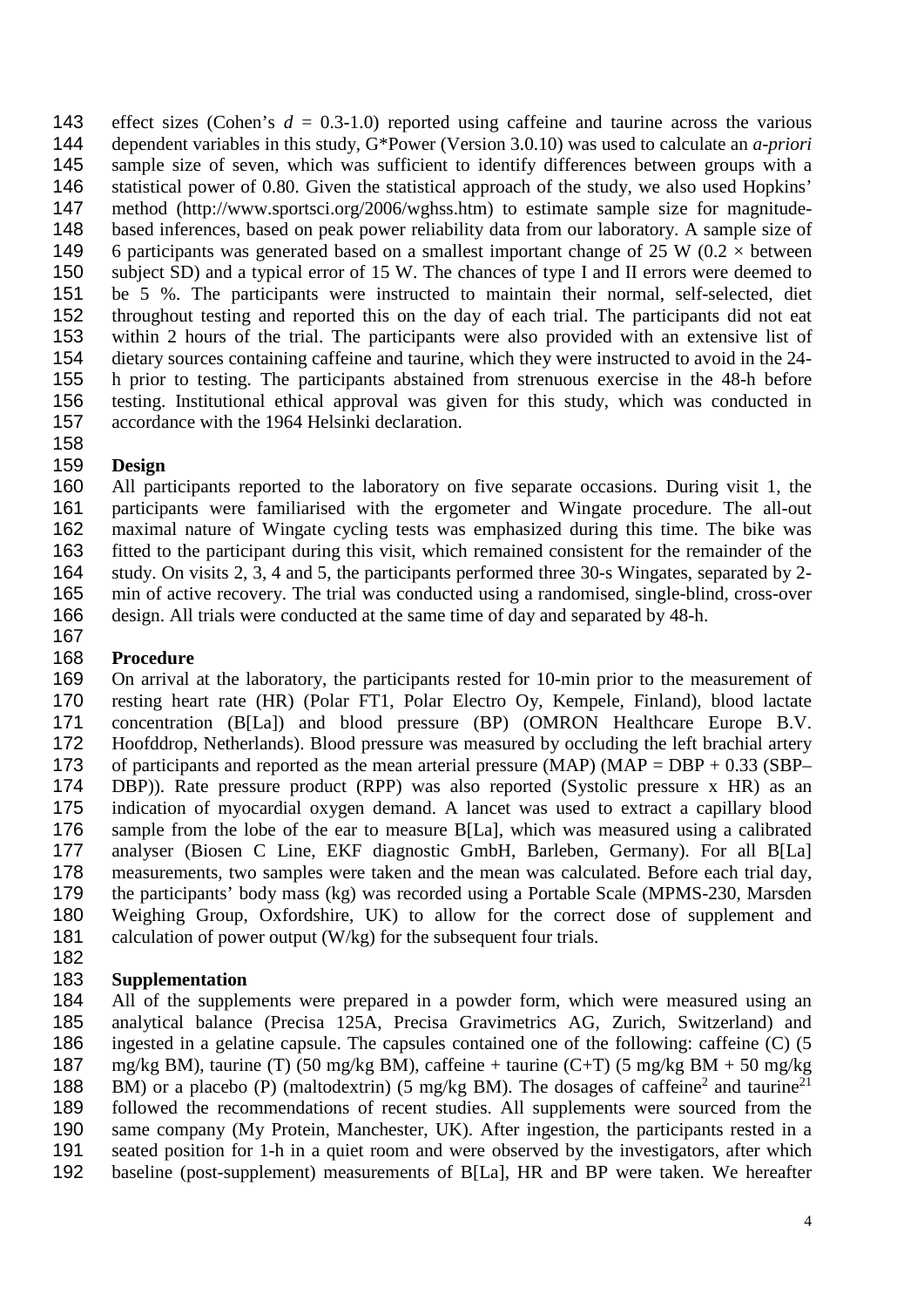143 effect sizes (Cohen's  $d = 0.3{\text -}1.0$ ) reported using caffeine and taurine across the various dependent variables in this study, G\*Power (Version 3.0.10) was used to calculate an *a-priori* sample size of seven, which was sufficient to identify differences between groups with a statistical power of 0.80. Given the statistical approach of the study, we also used Hopkins' 147 method (http://www.sportsci.org/2006/wghss.htm) to estimate sample size for magnitude-<br>148 based inferences, based on peak power reliability data from our laboratory. A sample size of 148 based inferences, based on peak power reliability data from our laboratory. A sample size of 149 6 participants was generated based on a smallest important change of 25 W  $(0.2 \times$  between 6 participants was generated based on a smallest important change of 25 W (0.2  $\times$  between subject SD) and a typical error of 15 W. The chances of type I and II errors were deemed to 151 be 5 %. The participants were instructed to maintain their normal, self-selected, diet<br>152 throughout testing and reported this on the day of each trial. The participants did not eat throughout testing and reported this on the day of each trial. The participants did not eat within 2 hours of the trial. The participants were also provided with an extensive list of dietary sources containing caffeine and taurine, which they were instructed to avoid in the 24- 155 h prior to testing. The participants abstained from strenuous exercise in the 48-h before<br>156 testing. Institutional ethical approval was given for this study, which was conducted in testing. Institutional ethical approval was given for this study, which was conducted in accordance with the 1964 Helsinki declaration.

# 

 **Design** All participants reported to the laboratory on five separate occasions. During visit 1, the participants were familiarised with the ergometer and Wingate procedure. The all-out maximal nature of Wingate cycling tests was emphasized during this time. The bike was fitted to the participant during this visit, which remained consistent for the remainder of the study. On visits 2, 3, 4 and 5, the participants performed three 30-s Wingates, separated by 2- min of active recovery. The trial was conducted using a randomised, single-blind, cross-over design. All trials were conducted at the same time of day and separated by 48-h.

#### 

#### **Procedure**

 On arrival at the laboratory, the participants rested for 10-min prior to the measurement of 170 resting heart rate (HR) (Polar FT1, Polar Electro Oy, Kempele, Finland), blood lactate<br>171 concentration (B[La]) and blood pressure (BP) (OMRON Healthcare Europe B.V. concentration (B[La]) and blood pressure (BP) (OMRON Healthcare Europe B.V. Hoofddrop, Netherlands). Blood pressure was measured by occluding the left brachial artery 173 of participants and reported as the mean arterial pressure (MAP) (MAP = DBP + 0.33 (SBP–<br>174 DBP)). Rate pressure product (RPP) was also reported (Systolic pressure x HR) as an 174 DBP)). Rate pressure product (RPP) was also reported (Systolic pressure x HR) as an 175 indication of myocardial oxygen demand. A lancet was used to extract a capillary blood indication of myocardial oxygen demand. A lancet was used to extract a capillary blood sample from the lobe of the ear to measure B[La], which was measured using a calibrated analyser (Biosen C Line, EKF diagnostic GmbH, Barleben, Germany). For all B[La] measurements, two samples were taken and the mean was calculated. Before each trial day, 179 the participants' body mass (kg) was recorded using a Portable Scale (MPMS-230, Marsden<br>180 Weighing Group, Oxfordshire, UK) to allow for the correct dose of supplement and Weighing Group, Oxfordshire, UK) to allow for the correct dose of supplement and calculation of power output (W/kg) for the subsequent four trials. 

 **Supplementation** All of the supplements were prepared in a powder form, which were measured using an analytical balance (Precisa 125A, Precisa Gravimetrics AG, Zurich, Switzerland) and ingested in a gelatine capsule. The capsules contained one of the following: caffeine (C) (5 mg/kg BM), taurine (T) (50 mg/kg BM), caffeine + taurine (C+T) (5 mg/kg BM + 50 mg/kg 188 BM) or a placebo (P) (maltodextrin) (5 mg/kg BM). The dosages of caffeine<sup>2</sup> and taurine<sup>21</sup> followed the recommendations of recent studies. All supplements were sourced from the 190 same company (My Protein, Manchester, UK). After ingestion, the participants rested in a<br>191 seated position for 1-h in a quiet room and were observed by the investigators, after which seated position for 1-h in a quiet room and were observed by the investigators, after which baseline (post-supplement) measurements of B[La], HR and BP were taken. We hereafter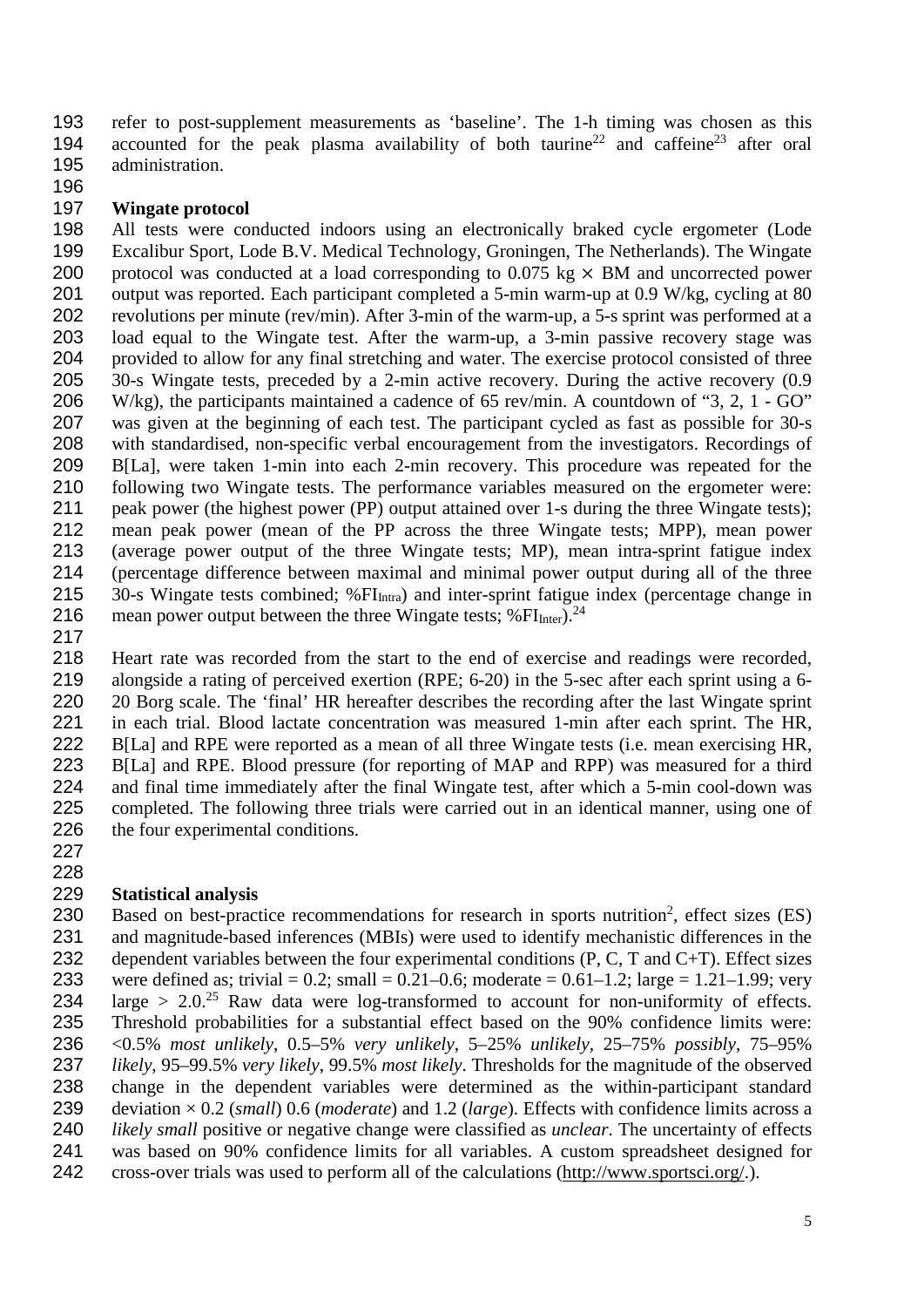refer to post-supplement measurements as 'baseline'. The 1-h timing was chosen as this 194 accounted for the peak plasma availability of both taurine<sup>22</sup> and caffeine<sup>23</sup> after oral administration.

#### **Wingate protocol**

198 All tests were conducted indoors using an electronically braked cycle ergometer (Lode 199 Excalibur Sport, Lode B.V. Medical Technology, Groningen, The Netherlands). The Wingate Excalibur Sport, Lode B.V. Medical Technology, Groningen, The Netherlands). The Wingate 200 protocol was conducted at a load corresponding to  $0.075 \text{ kg} \times \text{BM}$  and uncorrected power<br>201 output was reported. Each participant completed a 5-min warm-up at 0.9 W/kg, cycling at 80 201 output was reported. Each participant completed a 5-min warm-up at 0.9 W/kg, cycling at 80<br>202 revolutions per minute (rev/min). After 3-min of the warm-up, a 5-s sprint was performed at a revolutions per minute (rev/min). After 3-min of the warm-up, a 5-s sprint was performed at a load equal to the Wingate test. After the warm-up, a 3-min passive recovery stage was provided to allow for any final stretching and water. The exercise protocol consisted of three 30-s Wingate tests, preceded by a 2-min active recovery. During the active recovery (0.9 W/kg), the participants maintained a cadence of 65 rev/min. A countdown of "3, 2, 1 - GO" was given at the beginning of each test. The participant cycled as fast as possible for 30-s with standardised, non-specific verbal encouragement from the investigators. Recordings of 209 B[La], were taken 1-min into each 2-min recovery. This procedure was repeated for the 210 following two Wingate tests. The performance variables measured on the ergometer were: following two Wingate tests. The performance variables measured on the ergometer were: peak power (the highest power (PP) output attained over 1-s during the three Wingate tests); mean peak power (mean of the PP across the three Wingate tests; MPP), mean power (average power output of the three Wingate tests; MP), mean intra-sprint fatigue index (percentage difference between maximal and minimal power output during all of the three 215 30-s Wingate tests combined; %FI<sub>Intra</sub>) and inter-sprint fatigue index (percentage change in 216 mean power output between the three Wingate tests;  $%FI<sub>Inter</sub>$ ).<sup>24</sup>

 Heart rate was recorded from the start to the end of exercise and readings were recorded, alongside a rating of perceived exertion (RPE; 6-20) in the 5-sec after each sprint using a 6- 220 20 Borg scale. The 'final' HR hereafter describes the recording after the last Wingate sprint 221 in each trial. Blood lactate concentration was measured 1-min after each sprint. The HR. in each trial. Blood lactate concentration was measured 1-min after each sprint. The HR, B[La] and RPE were reported as a mean of all three Wingate tests (i.e. mean exercising HR, B[La] and RPE. Blood pressure (for reporting of MAP and RPP) was measured for a third and final time immediately after the final Wingate test, after which a 5-min cool-down was completed. The following three trials were carried out in an identical manner, using one of 226 the four experimental conditions.

#### **Statistical analysis**

230 Based on best-practice recommendations for research in sports nutrition<sup>2</sup>, effect sizes (ES) and magnitude-based inferences (MBIs) were used to identify mechanistic differences in the 232 dependent variables between the four experimental conditions  $(P, C, T, T)$ . Effect sizes 233 were defined as; trivial = 0.2; small = 0.21–0.6; moderate = 0.61–1.2; large = 1.21–1.99; very<br>234 large > 2.0.<sup>25</sup> Raw data were log-transformed to account for non-uniformity of effects. large  $> 2.0^{25}$  Raw data were log-transformed to account for non-uniformity of effects. Threshold probabilities for a substantial effect based on the 90% confidence limits were: <0.5% *most unlikely*, 0.5–5% *very unlikely*, 5–25% *unlikely,* 25–75% *possibly*, 75–95% *likely*, 95–99.5% *very likely*, 99.5% *most likely*. Thresholds for the magnitude of the observed change in the dependent variables were determined as the within-participant standard deviation × 0.2 (*small*) 0.6 (*moderate*) and 1.2 (*large*). Effects with confidence limits across a *likely small* positive or negative change were classified as *unclear*. The uncertainty of effects was based on 90% confidence limits for all variables. A custom spreadsheet designed for cross-over trials was used to perform all of the calculations [\(http://www.sportsci.org/.](http://www.sportsci.org/)).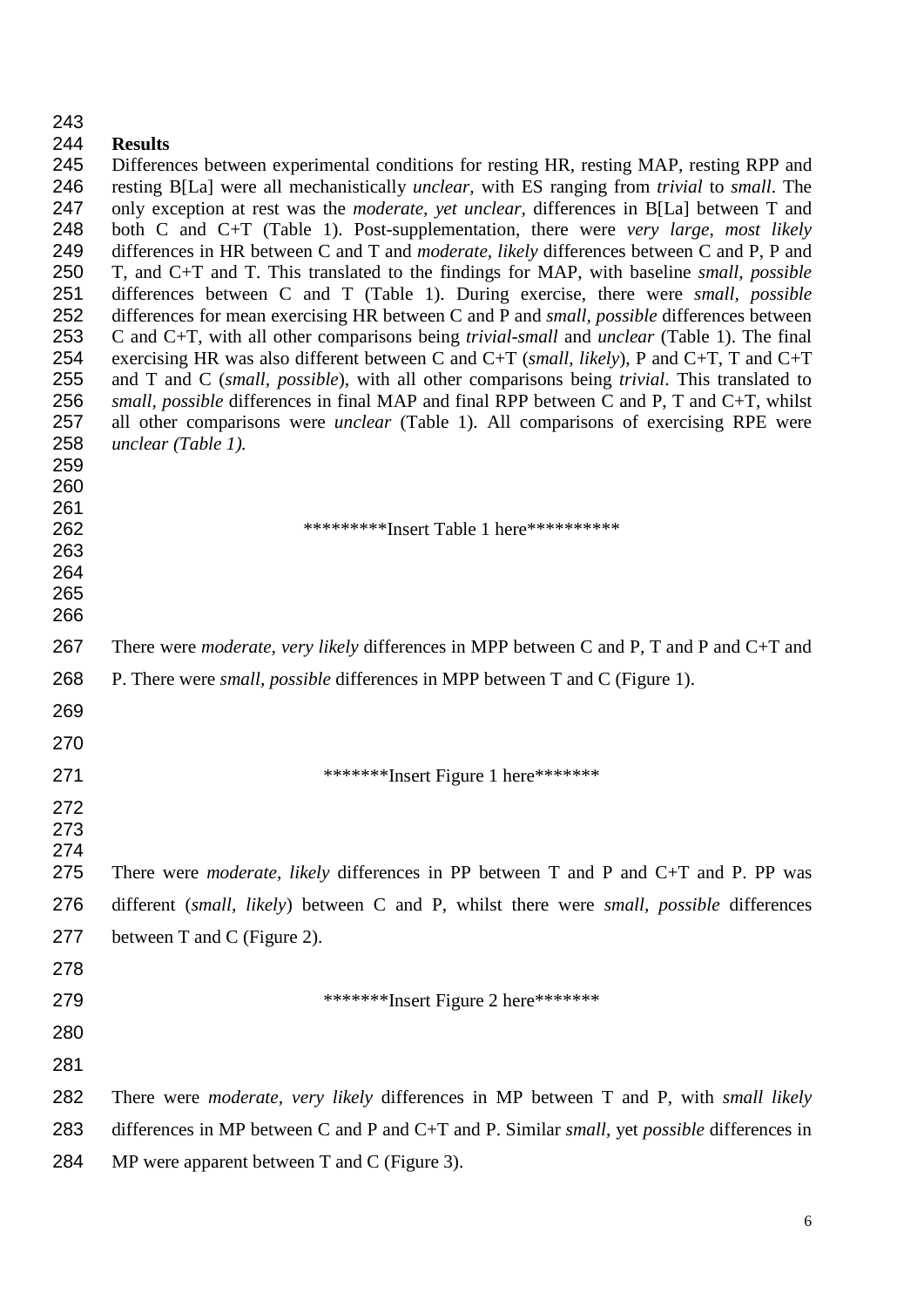| 243                                                                                                          |                                                                                                                                                                                                                                                                                                                                                                                                                                                                                                                                                                                                                                                                                                                                                                                                                                                                                                                                                                                                                                                                                                                                                                                                                                                                                                                                                              |
|--------------------------------------------------------------------------------------------------------------|--------------------------------------------------------------------------------------------------------------------------------------------------------------------------------------------------------------------------------------------------------------------------------------------------------------------------------------------------------------------------------------------------------------------------------------------------------------------------------------------------------------------------------------------------------------------------------------------------------------------------------------------------------------------------------------------------------------------------------------------------------------------------------------------------------------------------------------------------------------------------------------------------------------------------------------------------------------------------------------------------------------------------------------------------------------------------------------------------------------------------------------------------------------------------------------------------------------------------------------------------------------------------------------------------------------------------------------------------------------|
| 244<br>245<br>246<br>247<br>248<br>249<br>250<br>251<br>252<br>253<br>254<br>255<br>256<br>257<br>258<br>259 | <b>Results</b><br>Differences between experimental conditions for resting HR, resting MAP, resting RPP and<br>resting B[La] were all mechanistically <i>unclear</i> , with ES ranging from <i>trivial</i> to <i>small</i> . The<br>only exception at rest was the <i>moderate</i> , yet unclear, differences in B[La] between T and<br>both C and C+T (Table 1). Post-supplementation, there were very large, most likely<br>differences in HR between C and T and <i>moderate</i> , <i>likely</i> differences between C and P, P and<br>T, and C+T and T. This translated to the findings for MAP, with baseline <i>small, possible</i><br>differences between C and T (Table 1). During exercise, there were small, possible<br>differences for mean exercising HR between C and P and <i>small, possible</i> differences between<br>C and C+T, with all other comparisons being <i>trivial-small</i> and <i>unclear</i> (Table 1). The final<br>exercising HR was also different between C and C+T (small, likely), P and C+T, T and C+T<br>and T and C (small, possible), with all other comparisons being trivial. This translated to<br>small, possible differences in final MAP and final RPP between C and P, T and C+T, whilst<br>all other comparisons were <i>unclear</i> (Table 1). All comparisons of exercising RPE were<br>unclear (Table 1). |
| 260<br>261<br>262<br>263<br>264<br>265<br>266                                                                | ***********Insert Table 1 here***********                                                                                                                                                                                                                                                                                                                                                                                                                                                                                                                                                                                                                                                                                                                                                                                                                                                                                                                                                                                                                                                                                                                                                                                                                                                                                                                    |
| 267                                                                                                          | There were <i>moderate</i> , very likely differences in MPP between C and P, T and P and C+T and                                                                                                                                                                                                                                                                                                                                                                                                                                                                                                                                                                                                                                                                                                                                                                                                                                                                                                                                                                                                                                                                                                                                                                                                                                                             |
| 268                                                                                                          | P. There were <i>small, possible</i> differences in MPP between T and C (Figure 1).                                                                                                                                                                                                                                                                                                                                                                                                                                                                                                                                                                                                                                                                                                                                                                                                                                                                                                                                                                                                                                                                                                                                                                                                                                                                          |
| 269                                                                                                          |                                                                                                                                                                                                                                                                                                                                                                                                                                                                                                                                                                                                                                                                                                                                                                                                                                                                                                                                                                                                                                                                                                                                                                                                                                                                                                                                                              |
| 270                                                                                                          |                                                                                                                                                                                                                                                                                                                                                                                                                                                                                                                                                                                                                                                                                                                                                                                                                                                                                                                                                                                                                                                                                                                                                                                                                                                                                                                                                              |
| 271                                                                                                          | ********Insert Figure 1 here*******                                                                                                                                                                                                                                                                                                                                                                                                                                                                                                                                                                                                                                                                                                                                                                                                                                                                                                                                                                                                                                                                                                                                                                                                                                                                                                                          |
| 272<br>273<br>274<br>275                                                                                     | There were <i>moderate</i> , <i>likely</i> differences in PP between T and P and C+T and P. PP was                                                                                                                                                                                                                                                                                                                                                                                                                                                                                                                                                                                                                                                                                                                                                                                                                                                                                                                                                                                                                                                                                                                                                                                                                                                           |
| 276                                                                                                          | different (small, likely) between C and P, whilst there were small, possible differences                                                                                                                                                                                                                                                                                                                                                                                                                                                                                                                                                                                                                                                                                                                                                                                                                                                                                                                                                                                                                                                                                                                                                                                                                                                                     |
| 277                                                                                                          | between T and C (Figure 2).                                                                                                                                                                                                                                                                                                                                                                                                                                                                                                                                                                                                                                                                                                                                                                                                                                                                                                                                                                                                                                                                                                                                                                                                                                                                                                                                  |
| 278                                                                                                          |                                                                                                                                                                                                                                                                                                                                                                                                                                                                                                                                                                                                                                                                                                                                                                                                                                                                                                                                                                                                                                                                                                                                                                                                                                                                                                                                                              |
| 279                                                                                                          | ********Insert Figure 2 here*******                                                                                                                                                                                                                                                                                                                                                                                                                                                                                                                                                                                                                                                                                                                                                                                                                                                                                                                                                                                                                                                                                                                                                                                                                                                                                                                          |
| 280                                                                                                          |                                                                                                                                                                                                                                                                                                                                                                                                                                                                                                                                                                                                                                                                                                                                                                                                                                                                                                                                                                                                                                                                                                                                                                                                                                                                                                                                                              |
| 281                                                                                                          |                                                                                                                                                                                                                                                                                                                                                                                                                                                                                                                                                                                                                                                                                                                                                                                                                                                                                                                                                                                                                                                                                                                                                                                                                                                                                                                                                              |
| 282                                                                                                          | There were <i>moderate</i> , very likely differences in MP between T and P, with <i>small likely</i>                                                                                                                                                                                                                                                                                                                                                                                                                                                                                                                                                                                                                                                                                                                                                                                                                                                                                                                                                                                                                                                                                                                                                                                                                                                         |
| 283                                                                                                          | differences in MP between C and P and C+T and P. Similar small, yet possible differences in                                                                                                                                                                                                                                                                                                                                                                                                                                                                                                                                                                                                                                                                                                                                                                                                                                                                                                                                                                                                                                                                                                                                                                                                                                                                  |
| 284                                                                                                          | MP were apparent between $T$ and $C$ (Figure 3).                                                                                                                                                                                                                                                                                                                                                                                                                                                                                                                                                                                                                                                                                                                                                                                                                                                                                                                                                                                                                                                                                                                                                                                                                                                                                                             |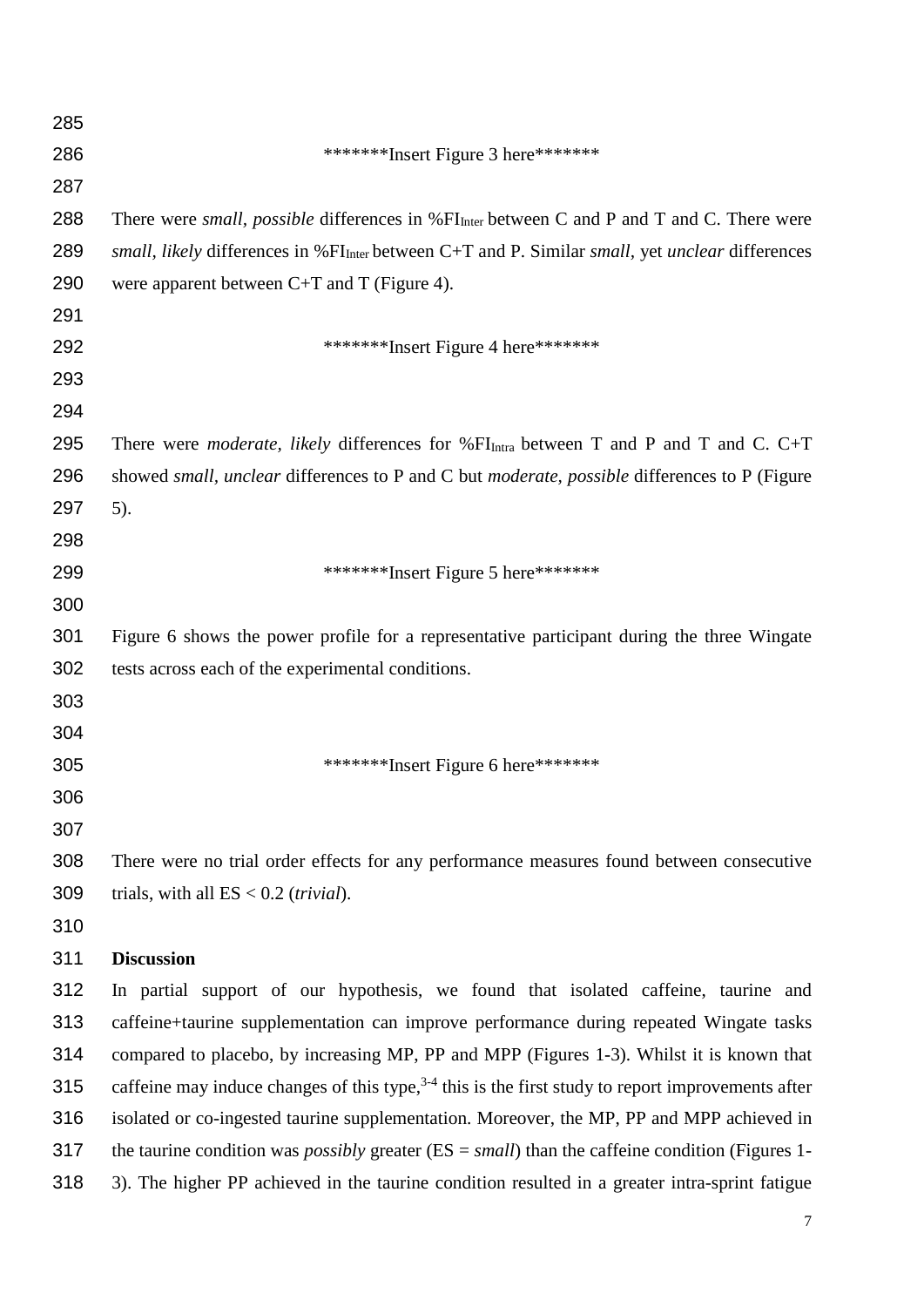| 285 |                                                                                                                   |
|-----|-------------------------------------------------------------------------------------------------------------------|
| 286 | ********Insert Figure 3 here*******                                                                               |
| 287 |                                                                                                                   |
| 288 | There were <i>small, possible</i> differences in %FI <sub>Inter</sub> between C and P and T and C. There were     |
| 289 | <i>small, likely</i> differences in % $FIInter$ between C+T and P. Similar <i>small, yet unclear</i> differences  |
| 290 | were apparent between $C+T$ and T (Figure 4).                                                                     |
| 291 |                                                                                                                   |
| 292 | ********Insert Figure 4 here*******                                                                               |
| 293 |                                                                                                                   |
| 294 |                                                                                                                   |
| 295 | There were <i>moderate</i> , <i>likely</i> differences for $\%FI_{\text{Intra}}$ between T and P and T and C. C+T |
| 296 | showed small, unclear differences to P and C but moderate, possible differences to P (Figure                      |
| 297 | $5)$ .                                                                                                            |
| 298 |                                                                                                                   |
| 299 | ********Insert Figure 5 here*******                                                                               |
| 300 |                                                                                                                   |
| 301 | Figure 6 shows the power profile for a representative participant during the three Wingate                        |
| 302 | tests across each of the experimental conditions.                                                                 |
| 303 |                                                                                                                   |
| 304 |                                                                                                                   |
| 305 | ********Insert Figure 6 here*******                                                                               |
| 306 |                                                                                                                   |
| 307 |                                                                                                                   |
| 308 | There were no trial order effects for any performance measures found between consecutive                          |
| 309 | trials, with all $ES < 0.2$ (trivial).                                                                            |
| 310 |                                                                                                                   |
| 311 | <b>Discussion</b>                                                                                                 |
| 312 | In partial support of our hypothesis, we found that isolated caffeine, taurine and                                |
| 313 | caffeine+taurine supplementation can improve performance during repeated Wingate tasks                            |
| 314 | compared to placebo, by increasing MP, PP and MPP (Figures 1-3). Whilst it is known that                          |
| 315 | caffeine may induce changes of this type, $3-4$ this is the first study to report improvements after              |
| 316 | isolated or co-ingested taurine supplementation. Moreover, the MP, PP and MPP achieved in                         |
| 317 | the taurine condition was <i>possibly</i> greater ( $ES = small$ ) than the caffeine condition (Figures 1-        |
| 318 | 3). The higher PP achieved in the taurine condition resulted in a greater intra-sprint fatigue                    |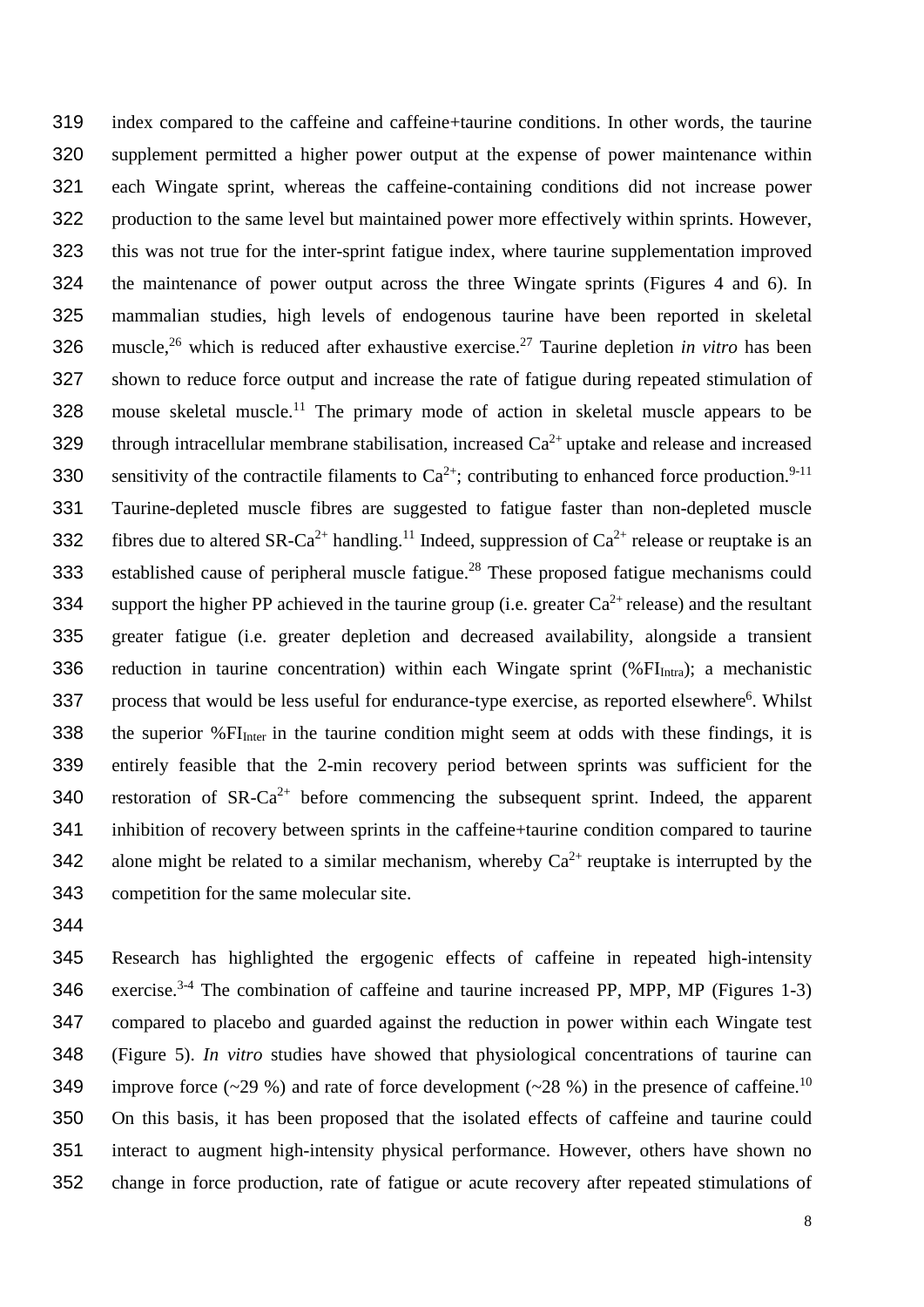319 index compared to the caffeine and caffeine+taurine conditions. In other words, the taurine 320 supplement permitted a higher power output at the expense of power maintenance within 321 each Wingate sprint, whereas the caffeine-containing conditions did not increase power 322 production to the same level but maintained power more effectively within sprints. However, 323 this was not true for the inter-sprint fatigue index, where taurine supplementation improved 324 the maintenance of power output across the three Wingate sprints (Figures 4 and 6). In 325 mammalian studies, high levels of endogenous taurine have been reported in skeletal 326 muscle,<sup>26</sup> which is reduced after exhaustive exercise.<sup>27</sup> Taurine depletion *in vitro* has been 327 shown to reduce force output and increase the rate of fatigue during repeated stimulation of 328 mouse skeletal muscle.<sup>11</sup> The primary mode of action in skeletal muscle appears to be 329 through intracellular membrane stabilisation, increased  $Ca^{2+}$  uptake and release and increased 330 sensitivity of the contractile filaments to  $Ca^{2+}$ ; contributing to enhanced force production.<sup>9-11</sup> 331 Taurine-depleted muscle fibres are suggested to fatigue faster than non-depleted muscle 332 fibres due to altered SR-Ca<sup>2+</sup> handling.<sup>11</sup> Indeed, suppression of Ca<sup>2+</sup> release or reuptake is an 333 established cause of peripheral muscle fatigue.<sup>28</sup> These proposed fatigue mechanisms could 334 support the higher PP achieved in the taurine group (i.e. greater  $Ca^{2+}$  release) and the resultant 335 greater fatigue (i.e. greater depletion and decreased availability, alongside a transient 336 reduction in taurine concentration) within each Wingate sprint  $(\%FI<sub>Intra</sub>)$ ; a mechanistic 337 process that would be less useful for endurance-type exercise, as reported elsewhere<sup>6</sup>. Whilst 338 the superior  $\%$  FI<sub>Inter</sub> in the taurine condition might seem at odds with these findings, it is 339 entirely feasible that the 2-min recovery period between sprints was sufficient for the 340 restoration of  $SR-Ca^{2+}$  before commencing the subsequent sprint. Indeed, the apparent 341 inhibition of recovery between sprints in the caffeine+taurine condition compared to taurine 342 alone might be related to a similar mechanism, whereby  $Ca^{2+}$  reuptake is interrupted by the 343 competition for the same molecular site.

344

 Research has highlighted the ergogenic effects of caffeine in repeated high-intensity 346 exercise.<sup>3-4</sup> The combination of caffeine and taurine increased PP, MPP, MP (Figures 1-3) compared to placebo and guarded against the reduction in power within each Wingate test (Figure 5). *In vitro* studies have showed that physiological concentrations of taurine can 349 improve force (~29 %) and rate of force development (~28 %) in the presence of caffeine.<sup>10</sup> On this basis, it has been proposed that the isolated effects of caffeine and taurine could interact to augment high-intensity physical performance. However, others have shown no change in force production, rate of fatigue or acute recovery after repeated stimulations of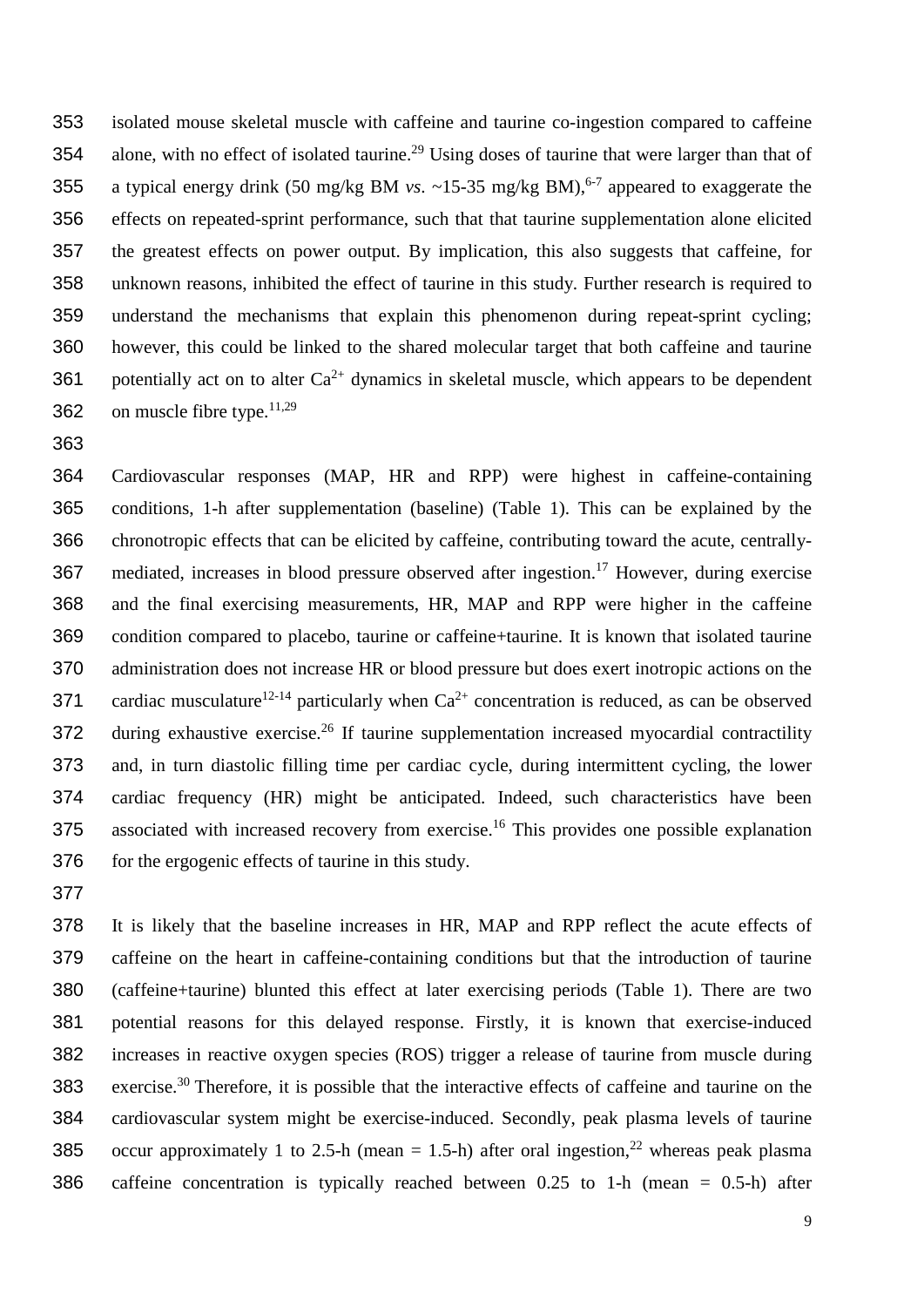isolated mouse skeletal muscle with caffeine and taurine co-ingestion compared to caffeine 354 alone, with no effect of isolated taurine.<sup>29</sup> Using doses of taurine that were larger than that of 355 a typical energy drink (50 mg/kg BM *vs.*  $\sim$ 15-35 mg/kg BM),<sup>6-7</sup> appeared to exaggerate the effects on repeated-sprint performance, such that that taurine supplementation alone elicited the greatest effects on power output. By implication, this also suggests that caffeine, for unknown reasons, inhibited the effect of taurine in this study. Further research is required to understand the mechanisms that explain this phenomenon during repeat-sprint cycling; however, this could be linked to the shared molecular target that both caffeine and taurine 361 potentially act on to alter  $Ca^{2+}$  dynamics in skeletal muscle, which appears to be dependent 362 on muscle fibre type. $11,29$ 

 Cardiovascular responses (MAP, HR and RPP) were highest in caffeine-containing conditions, 1-h after supplementation (baseline) (Table 1). This can be explained by the chronotropic effects that can be elicited by caffeine, contributing toward the acute, centrally-367 mediated, increases in blood pressure observed after ingestion.<sup>17</sup> However, during exercise and the final exercising measurements, HR, MAP and RPP were higher in the caffeine condition compared to placebo, taurine or caffeine+taurine. It is known that isolated taurine administration does not increase HR or blood pressure but does exert inotropic actions on the 371 cardiac musculature<sup>12-14</sup> particularly when  $Ca^{2+}$  concentration is reduced, as can be observed 372 during exhaustive exercise.<sup>26</sup> If taurine supplementation increased myocardial contractility and, in turn diastolic filling time per cardiac cycle, during intermittent cycling, the lower cardiac frequency (HR) might be anticipated. Indeed, such characteristics have been 375 associated with increased recovery from exercise.<sup>16</sup> This provides one possible explanation 376 for the ergogenic effects of taurine in this study.

 It is likely that the baseline increases in HR, MAP and RPP reflect the acute effects of caffeine on the heart in caffeine-containing conditions but that the introduction of taurine (caffeine+taurine) blunted this effect at later exercising periods (Table 1). There are two potential reasons for this delayed response. Firstly, it is known that exercise-induced increases in reactive oxygen species (ROS) trigger a release of taurine from muscle during 383 exercise.<sup>30</sup> Therefore, it is possible that the interactive effects of caffeine and taurine on the cardiovascular system might be exercise-induced. Secondly, peak plasma levels of taurine 385 occur approximately 1 to 2.5-h (mean = 1.5-h) after oral ingestion,<sup>22</sup> whereas peak plasma caffeine concentration is typically reached between 0.25 to 1-h (mean = 0.5-h) after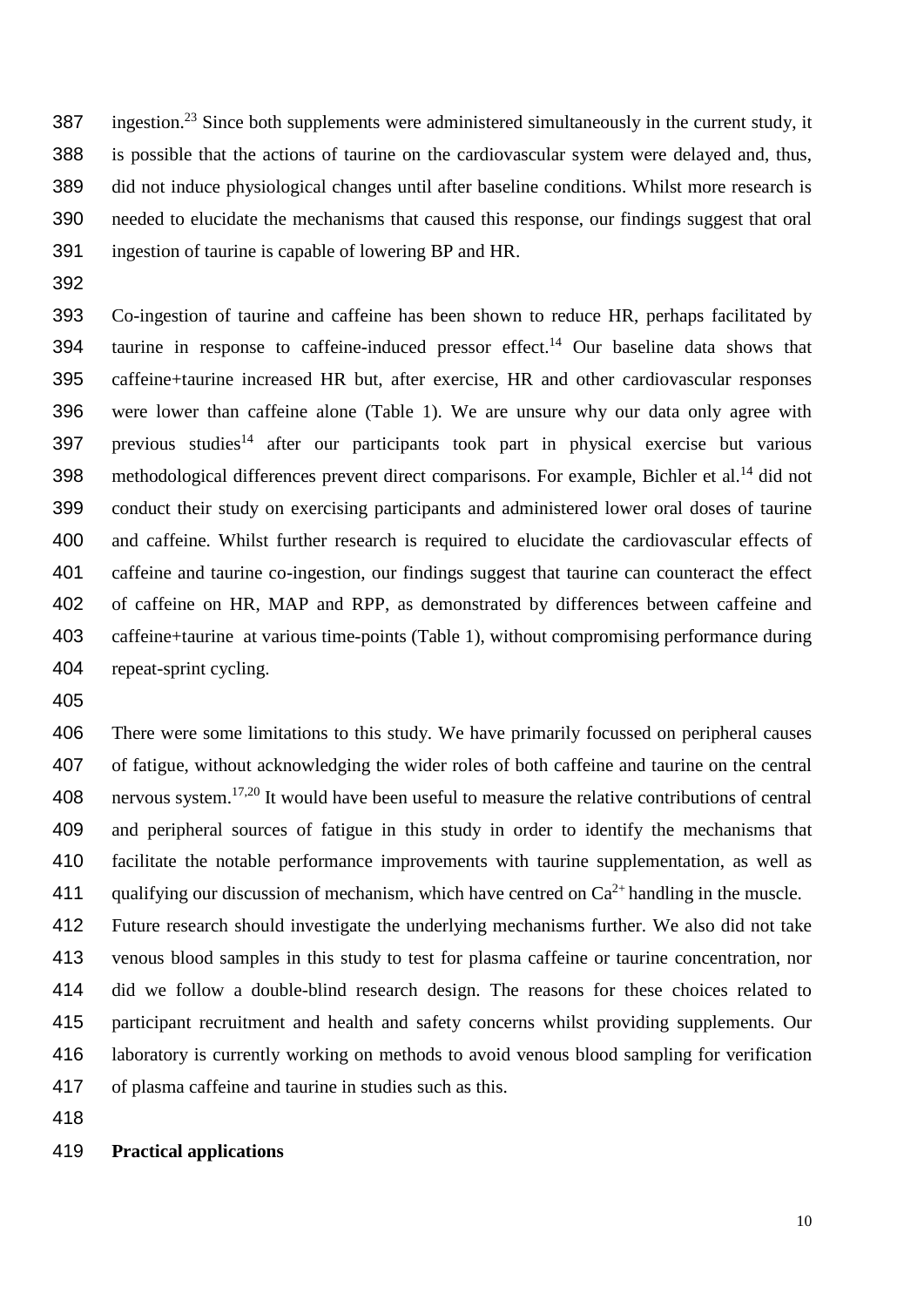387 ingestion.<sup>23</sup> Since both supplements were administered simultaneously in the current study, it is possible that the actions of taurine on the cardiovascular system were delayed and, thus, did not induce physiological changes until after baseline conditions. Whilst more research is needed to elucidate the mechanisms that caused this response, our findings suggest that oral ingestion of taurine is capable of lowering BP and HR.

 Co-ingestion of taurine and caffeine has been shown to reduce HR, perhaps facilitated by 394 taurine in response to caffeine-induced pressor effect.<sup>14</sup> Our baseline data shows that caffeine+taurine increased HR but, after exercise, HR and other cardiovascular responses were lower than caffeine alone (Table 1). We are unsure why our data only agree with 397 previous studies<sup>14</sup> after our participants took part in physical exercise but various 398 methodological differences prevent direct comparisons. For example, Bichler et al.<sup>14</sup> did not conduct their study on exercising participants and administered lower oral doses of taurine and caffeine. Whilst further research is required to elucidate the cardiovascular effects of caffeine and taurine co-ingestion, our findings suggest that taurine can counteract the effect of caffeine on HR, MAP and RPP, as demonstrated by differences between caffeine and caffeine+taurine at various time-points (Table 1), without compromising performance during repeat-sprint cycling.

 There were some limitations to this study. We have primarily focussed on peripheral causes of fatigue, without acknowledging the wider roles of both caffeine and taurine on the central 408 nervous system.<sup>17,20</sup> It would have been useful to measure the relative contributions of central and peripheral sources of fatigue in this study in order to identify the mechanisms that facilitate the notable performance improvements with taurine supplementation, as well as 411 qualifying our discussion of mechanism, which have centred on  $Ca^{2+}$  handling in the muscle.

 Future research should investigate the underlying mechanisms further. We also did not take venous blood samples in this study to test for plasma caffeine or taurine concentration, nor did we follow a double-blind research design. The reasons for these choices related to participant recruitment and health and safety concerns whilst providing supplements. Our laboratory is currently working on methods to avoid venous blood sampling for verification of plasma caffeine and taurine in studies such as this.

#### **Practical applications**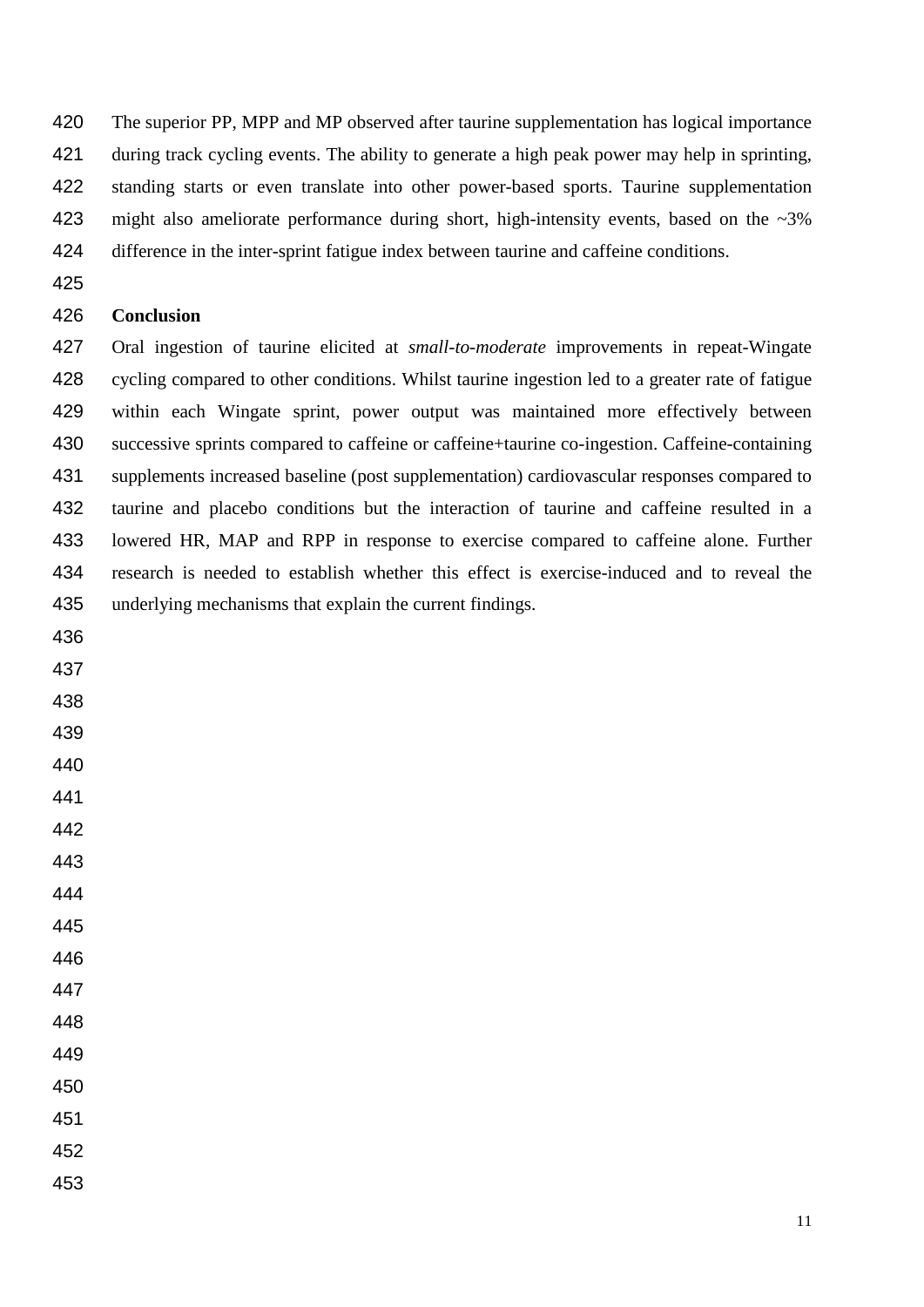420 The superior PP, MPP and MP observed after taurine supplementation has logical importance during track cycling events. The ability to generate a high peak power may help in sprinting, standing starts or even translate into other power-based sports. Taurine supplementation 423 might also ameliorate performance during short, high-intensity events, based on the ~3% difference in the inter-sprint fatigue index between taurine and caffeine conditions.

#### **Conclusion**

 Oral ingestion of taurine elicited at *small-to-moderate* improvements in repeat-Wingate cycling compared to other conditions. Whilst taurine ingestion led to a greater rate of fatigue within each Wingate sprint, power output was maintained more effectively between 430 successive sprints compared to caffeine or caffeine+taurine co-ingestion. Caffeine-containing supplements increased baseline (post supplementation) cardiovascular responses compared to taurine and placebo conditions but the interaction of taurine and caffeine resulted in a lowered HR, MAP and RPP in response to exercise compared to caffeine alone. Further research is needed to establish whether this effect is exercise-induced and to reveal the underlying mechanisms that explain the current findings.

- 
- 
- 
- 
- 
- 

- 
- 
- 
- 
- 
- 

- 
- 
- 
-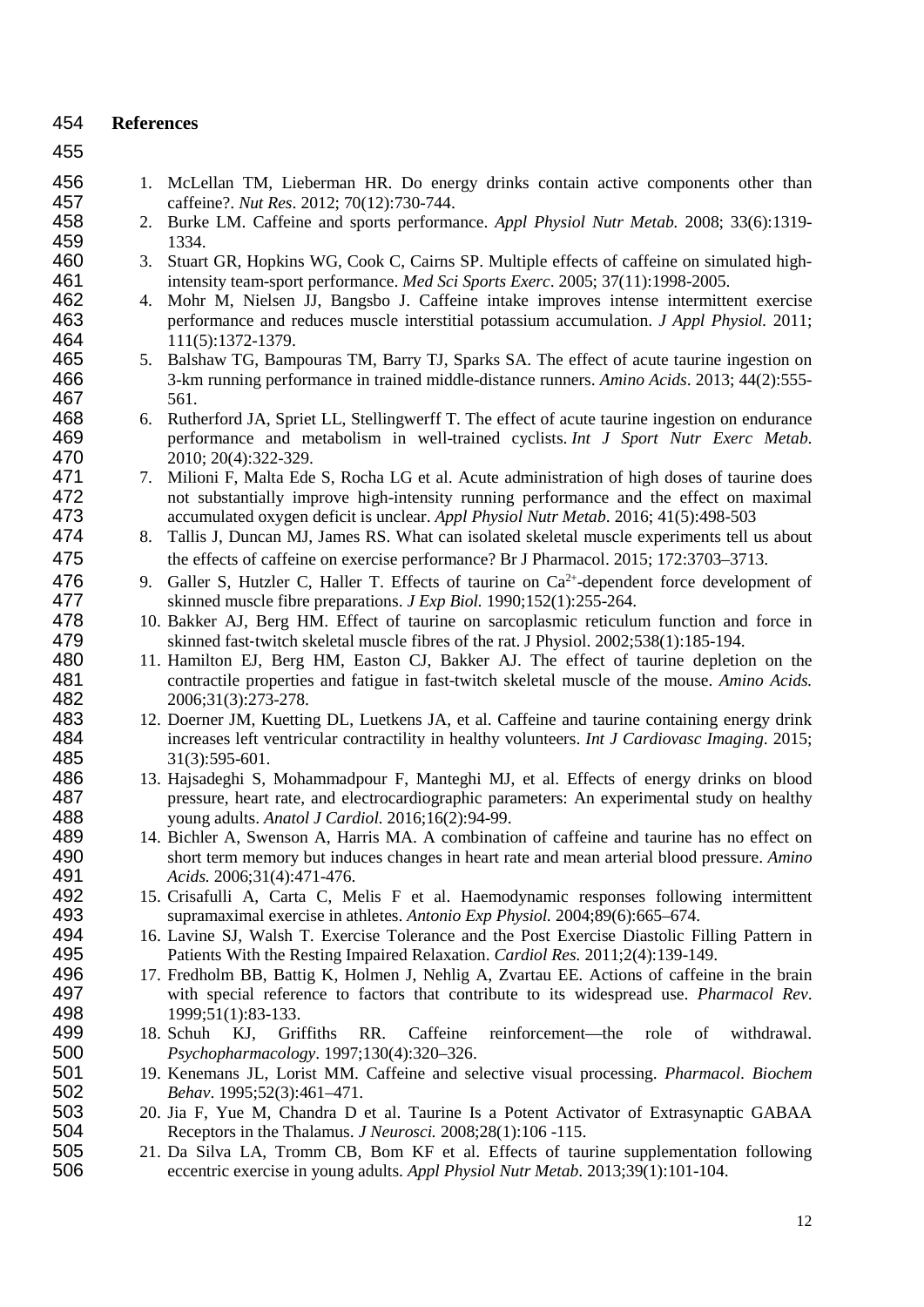#### 454 **References**

- 455
- 456 1. McLellan TM, Lieberman HR. Do energy drinks contain active components other than<br>457 caffeine? *Nut Res.* 2012: 70(12): 730-744. 457 caffeine?. *Nut Res*. 2012; 70(12):730-744.
- 458 2. Burke LM. Caffeine and sports performance. *Appl Physiol Nutr Metab.* 2008; 33(6):1319- 459 1334.
- 460 3. Stuart GR, Hopkins WG, Cook C, Cairns SP. Multiple effects of caffeine on simulated high-<br>461 then intensity team-sport performance. *Med Sci Sports Exerc*. 2005: 37(11):1998-2005. 461 intensity team-sport performance. *Med Sci Sports Exerc*. 2005; 37(11):1998-2005.
- 462 4. Mohr M, Nielsen JJ, Bangsbo J. Caffeine intake improves intense intermittent exercise<br>463 berformance and reduces muscle interstitial potassium accumulation. *J Appl Physiol*. 2011: 463 performance and reduces muscle interstitial potassium accumulation. *J Appl Physiol.* 2011; 464 111(5):1372-1379.<br>465 5. Balshaw TG, Bam
- 5. Balshaw TG, Bampouras TM, Barry TJ, Sparks SA. The effect of acute taurine ingestion on 466 3-km running performance in trained middle-distance runners. *Amino Acids*. 2013; 44(2):555- 467 561.
- 468 6. Rutherford JA, Spriet LL, Stellingwerff T. The effect of acute taurine ingestion on endurance<br>469 berformance and metabolism in well-trained cyclists. *Int J Sport Nutr Exerc Metab*. 469 performance and metabolism in well-trained cyclists. *Int J Sport Nutr Exerc Metab*. 470 2010; 20(4):322-329.<br>471 7. Milioni F. Malta Ede
- 471 7. Milioni F, Malta Ede S, Rocha LG et al. Acute administration of high doses of taurine does<br>472 not substantially improve high-intensity running performance and the effect on maximal 472 not substantially improve high-intensity running performance and the effect on maximal<br>473 accumulated oxygen deficit is unclear. Appl Physiol Nutr Metab. 2016; 41(5):498-503 473 accumulated oxygen deficit is unclear. *Appl Physiol Nutr Metab*. 2016; 41(5):498-503
- 474 8. Tallis J, Duncan MJ, James RS. What can isolated skeletal muscle experiments tell us about 475 the effects of caffeine on exercise performance? Br J Pharmacol. 2015; 172:3703–3713.
- 476 9. Galler S, Hutzler C, Haller T. Effects of taurine on  $Ca^{2+}$ -dependent force development of skinned muscle fibre preparations. *J Exp Biol.* 1990;152(1):255-264. 477 skinned muscle fibre preparations. *J Exp Biol.* 1990;152(1):255-264.<br>478 10. Bakker AJ. Berg HM. Effect of taurine on sarcoplasmic reticului
- 478 10. Bakker AJ, Berg HM. Effect of taurine on sarcoplasmic reticulum function and force in<br>479 skinned fast-twitch skeletal muscle fibres of the rat. J Physiol. 2002:538(1):185-194. 479 skinned fast-twitch skeletal muscle fibres of the rat. J Physiol. 2002;538(1):185-194.<br>480 11. Hamilton EJ. Berg HM. Easton CJ. Bakker AJ. The effect of taurine depletio
- 11. Hamilton EJ, Berg HM, Easton CJ, Bakker AJ. The effect of taurine depletion on the 481 contractile properties and fatigue in fast-twitch skeletal muscle of the mouse. *Amino Acids.*  482 2006;31(3):273-278.<br>483 12 Doerner JM. Kuettin
- 483 12. Doerner JM, Kuetting DL, Luetkens JA, et al. Caffeine and taurine containing energy drink<br>484 increases left ventricular contractility in healthy volunteers. *Int J Cardiovasc Imaging*. 2015; 484 increases left ventricular contractility in healthy volunteers. *Int J Cardiovasc Imaging*. 2015; 485 31(3):595-601.<br>486 13. Haisadeghi S.
- 486 13. Hajsadeghi S, Mohammadpour F, Manteghi MJ, et al. Effects of energy drinks on blood 487 pressure, heart rate, and electrocardiographic parameters: An experimental study on healthy<br>488 young adults. Anatol J Cardiol. 2016;16(2):94-99. 488 young adults. *Anatol J Cardiol.* 2016;16(2):94-99.<br>489 14. Bichler A. Swenson A. Harris MA. A combinational
- 489 14. Bichler A, Swenson A, Harris MA. A combination of caffeine and taurine has no effect on short term memory but induces changes in heart rate and mean arterial blood pressure. Amino 490 short term memory but induces changes in heart rate and mean arterial blood pressure. *Amino*  491 *Acids.* 2006;31(4):471-476.
- 492 15. Crisafulli A, Carta C, Melis F et al. Haemodynamic responses following intermittent 493 supramaximal exercise in athletes. *Antonio Exp Physiol.* 2004;89(6):665–674.
- 16. Lavine SJ, Walsh T. Exercise Tolerance and the Post Exercise Diastolic Filling Pattern in 495 Patients With the Resting Impaired Relaxation. *Cardiol Res.* 2011;2(4):139-149.
- 496 17. Fredholm BB, Battig K, Holmen J, Nehlig A, Zvartau EE. Actions of caffeine in the brain<br>497 with special reference to factors that contribute to its widespread use. *Pharmacol Rev*. 497 with special reference to factors that contribute to its widespread use. *Pharmacol Rev*. 498 1999;51(1):83-133.<br>499 18. Schuh KJ. Gri
- 499 18. Schuh KJ, Griffiths RR. Caffeine reinforcement—the role of withdrawal.<br>500 *Psychopharmacology*. 1997:130(4):320–326. 500 *Psychopharmacology*. 1997;130(4):320–326.
- 501 19. Kenemans JL, Lorist MM. Caffeine and selective visual processing. *Pharmacol. Biochem*  502 *Behav*. 1995;52(3):461–471.
- 503 20. Jia F, Yue M, Chandra D et al. Taurine Is a Potent Activator of Extrasynaptic GABAA<br>504 Receptors in the Thalamus. *J Neurosci.* 2008:28(1):106-115. 504 Receptors in the Thalamus. *J Neurosci.* 2008;28(1):106 -115.<br>505 21. Da Silva LA. Tromm CB. Bom KF et al. Effects of tau
- 505 21. Da Silva LA, Tromm CB, Bom KF et al. Effects of taurine supplementation following<br>506 eccentric exercise in young adults. Appl Physiol Nutr Metab. 2013:39(1):101-104. 506 eccentric exercise in young adults. *Appl Physiol Nutr Metab*. 2013;39(1):101-104.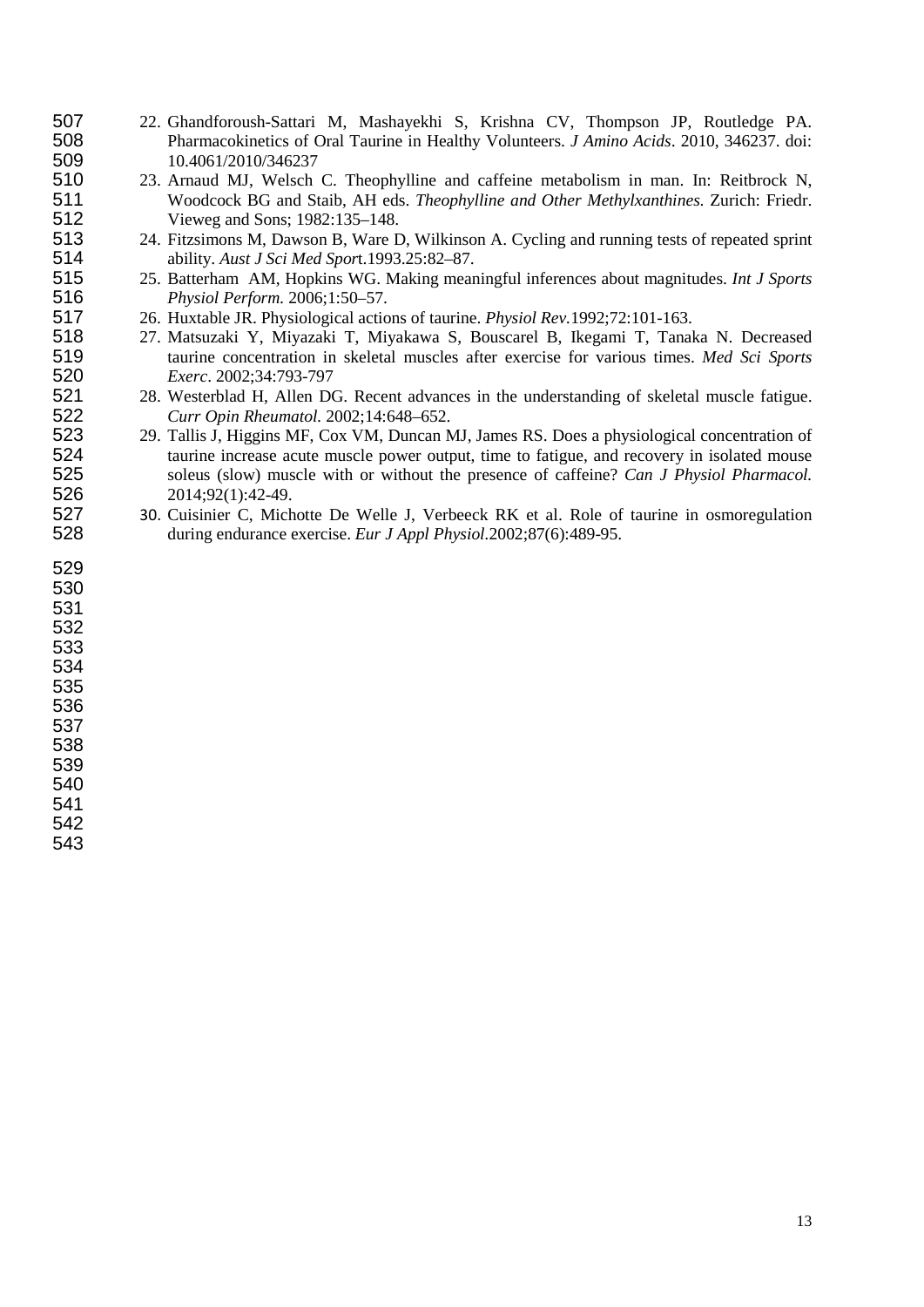- 507 22. Ghandforoush-Sattari M, Mashayekhi S, Krishna CV, Thompson JP, Routledge PA.<br>508 Pharmacokinetics of Oral Taurine in Healthy Volunteers. *J Amino Acids*. 2010, 346237. doi: Pharmacokinetics of Oral Taurine in Healthy Volunteers. *J Amino Acids*. 2010, 346237. doi: 509 10.4061/2010/346237<br>510 23. Arnaud MJ, Welsch
- 510 23. Arnaud MJ, Welsch C. Theophylline and caffeine metabolism in man. In: Reitbrock N,<br>511 Woodcock BG and Staib. AH eds. *Theophylline and Other Methylxanthines*. Zurich: Friedr. Woodcock BG and Staib, AH eds. *Theophylline and Other Methylxanthines.* Zurich: Friedr. 512 Vieweg and Sons; 1982:135–148.<br>513 24. Fitzsimons M. Dawson B. Ware D.
- 513 24. Fitzsimons M, Dawson B, Ware D, Wilkinson A. Cycling and running tests of repeated sprint<br>514 bility. Aust J Sci Med Sport. 1993.25:82–87. ability. *Aust J Sci Med Spor*t.1993.25:82–87.
- 25. Batterham AM, Hopkins WG. Making meaningful inferences about magnitudes. *Int J Sports Physiol Perform.* 2006;1:50–57.
	- 26. Huxtable JR. Physiological actions of taurine. *Physiol Rev.*1992;72:101-163.
- 27. Matsuzaki Y, Miyazaki T, Miyakawa S, Bouscarel B, Ikegami T, Tanaka N. Decreased taurine concentration in skeletal muscles after exercise for various times. *Med Sci Sports Exerc*. 2002;34:793-797
- 521 28. Westerblad H, Allen DG. Recent advances in the understanding of skeletal muscle fatigue.<br>522 Curr Opin Rheumatol. 2002;14:648–652. *Curr Opin Rheumatol.* 2002;14:648–652.
- 523 29. Tallis J, Higgins MF, Cox VM, Duncan MJ, James RS. Does a physiological concentration of taurine increase acute muscle power output, time to fatigue, and recovery in isolated mouse 524 taurine increase acute muscle power output, time to fatigue, and recovery in isolated mouse<br>525 soleus (slow) muscle with or without the presence of caffeine? *Can J Physiol Pharmacol*. soleus (slow) muscle with or without the presence of caffeine? *Can J Physiol Pharmacol.* 2014;92(1):42-49.
- 30. Cuisinier C, Michotte De Welle J, Verbeeck RK et al. Role of taurine in osmoregulation during endurance exercise. *Eur J Appl Physiol.*2002;87(6):489-95.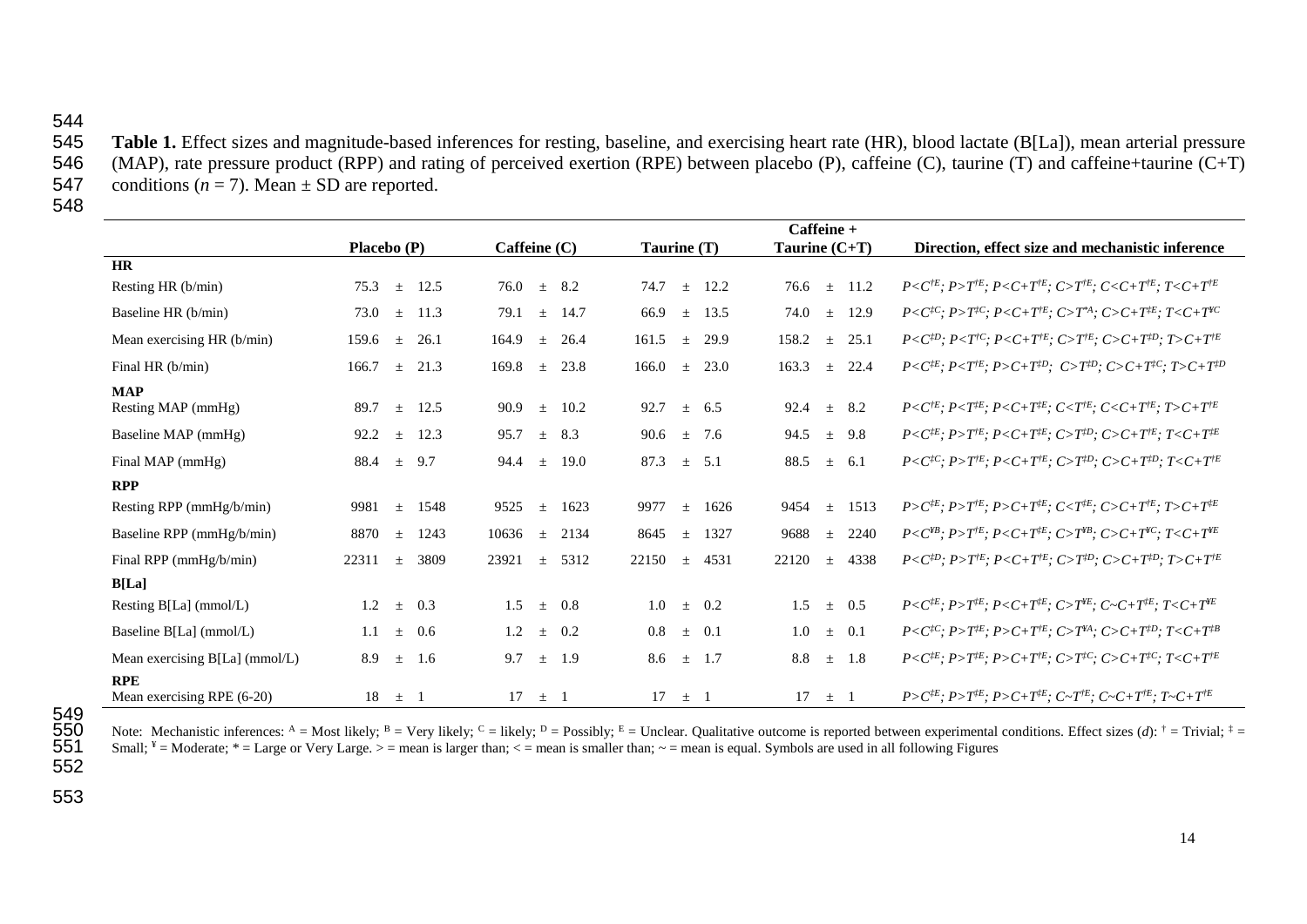## 544<br>545

545 **Table 1.** Effect sizes and magnitude-based inferences for resting, baseline, and exercising heart rate (HR), blood lactate (B[La]), mean arterial pressure 546 (MAP), rate pressure product (RPP) and rating of perceived 546 (MAP), rate pressure product (RPP) and rating of perceived exertion (RPE) between placebo (P), caffeine (C), taurine (T) and caffeine+taurine (C+T) conditions ( $n = 7$ ). Mean  $\pm$  SD are reported. conditions  $(n = 7)$ . Mean  $\pm$  SD are reported.

548

|                                          |                        |                        |                          | $C$ affeine +          |                                                                                                                 |
|------------------------------------------|------------------------|------------------------|--------------------------|------------------------|-----------------------------------------------------------------------------------------------------------------|
|                                          | Placebo (P)            | Caffeine $(C)$         | Taurine (T)              | Taurine $(C+T)$        | Direction, effect size and mechanistic inference                                                                |
| <b>HR</b>                                |                        |                        |                          |                        |                                                                                                                 |
| Resting HR (b/min)                       | 12.5<br>75.3<br>$\pm$  | $\pm$ 8.2<br>76.0      | 74.7<br>12.2<br>$\pm$    | 76.6<br>$\pm$ 11.2     | $P \le C^{E}$ ; $P > T^{E}$ ; $P \le C + T^{E}$ ; $C > T^{E}$ ; $C \le C + T^{E}$ ; $T \le C + T^{E}$           |
| Baseline HR (b/min)                      | 11.3<br>73.0<br>$\pm$  | 79.1<br>14.7<br>$\pm$  | 66.9<br>13.5<br>$\pm$    | 74.0<br>12.9<br>$\pm$  | $P < C^{tC}$ ; $P > T^{tC}$ ; $P < C + T^{tE}$ ; $C > T^{*A}$ ; $C > C + T^{tE}$ ; $T < C + T^{tC}$             |
| Mean exercising HR (b/min)               | 26.1<br>159.6<br>士     | 164.9<br>26.4<br>土     | 161.5<br>29.9<br>$\pm$   | 158.2<br>25.1<br>$\pm$ | $P < C^{D}$ ; $P < T^{C}$ ; $P < C + T^{E}$ ; $C > T^{E}$ ; $C > C + T^{D}$ ; $T > C + T^{E}$                   |
| Final HR (b/min)                         | 166.7<br>21.3<br>$\pm$ | 169.8<br>23.8<br>$\pm$ | 166.0<br>23.0<br>$\,+\,$ | 163.3<br>22.4<br>$\pm$ | $P < C^{jE}$ ; $P < T^{jE}$ ; $P > C + T^{jD}$ ; $C > T^{jD}$ ; $C > C + T^{jC}$ ; $T > C + T^{jD}$             |
| <b>MAP</b>                               |                        |                        |                          |                        |                                                                                                                 |
| Resting MAP (mmHg)                       | 12.5<br>89.7<br>$\pm$  | 90.9<br>10.2<br>$\pm$  | 92.7<br>6.5<br>$\pm$     | 92.4<br>8.2<br>$\pm$   | $P < C^{tE}$ ; $P < T^{tE}$ ; $P < C + T^{tE}$ ; $C < T^{tE}$ ; $C < C + T^{tE}$ ; $T > C + T^{tE}$             |
| Baseline MAP (mmHg)                      | 12.3<br>92.2<br>$\pm$  | 95.7<br>8.3<br>$\pm$   | 90.6<br>7.6<br>$\pm$     | 94.5<br>9.8<br>$\pm$   | $P \leq C^{jE}$ ; $P > T^{jE}$ ; $P \leq C + T^{jE}$ ; $C > T^{jD}$ ; $C > C + T^{jE}$ ; $T \leq C + T^{jE}$    |
| Final MAP (mmHg)                         | 9.7<br>88.4<br>士       | 94.4<br>19.0<br>$+$    | 87.3<br>5.1<br>$\pm$     | 88.5<br>6.1<br>$\pm$   | $P < C^{tC}$ ; $P > T^{tE}$ ; $P < C + T^{tE}$ ; $C > T^{tD}$ ; $C > C + T^{tD}$ ; $T < C + T^{tE}$             |
| <b>RPP</b>                               |                        |                        |                          |                        |                                                                                                                 |
| Resting RPP (mmHg/b/min)                 | 1548<br>9981<br>士      | 9525<br>1623<br>$\pm$  | 9977<br>1626<br>$\pm$    | 9454<br>1513<br>$\pm$  | $P > C^{tE}$ ; $P > T^{tE}$ ; $P > C + T^{tE}$ ; $C < T^{tE}$ ; $C > C + T^{tE}$ ; $T > C + T^{tE}$             |
| Baseline RPP (mmHg/b/min)                | 8870<br>1243<br>士      | 10636<br>2134<br>$\pm$ | 8645<br>1327<br>士        | 9688<br>2240<br>士      | $P < C^{HB}$ ; $P > T^{E}$ ; $P < C + T^{IE}$ ; $C > T^{HB}$ ; $C > C + T^{VC}$ ; $T < C + T^{VE}$              |
| Final RPP (mmHg/b/min)                   | 22311<br>3809<br>$\pm$ | 23921<br>5312<br>$\pm$ | 22150<br>4531<br>$\pm$   | 22120<br>4338<br>$\pm$ | $P < C^{fD}$ ; $P > T^{fE}$ ; $P < C + T^{fE}$ ; $C > T^{fD}$ ; $C > C + T^{fD}$ ; $T > C + T^{fE}$             |
| <b>B</b> [La]                            |                        |                        |                          |                        |                                                                                                                 |
| Resting B[La] (mmol/L)                   | 1.2<br>0.3<br>$\pm$    | 0.8<br>1.5<br>$\pm$    | 0.2<br>1.0<br>$\pm$      | 1.5<br>0.5<br>$\pm$    | $P \leq C^{jE}$ ; $P > T^{jE}$ ; $P \leq C + T^{jE}$ ; $C > T^{FE}$ ; $C \sim C + T^{jE}$ ; $T \leq C + T^{FE}$ |
| Baseline B[La] (mmol/L)                  | 1.1<br>0.6<br>士        | 1.2<br>0.2<br>$\pm$    | 0.8<br>0.1<br>$\pm$      | 1.0<br>0.1<br>士        | $P < C^{tC}$ ; $P > T^{tE}$ ; $P > C + T^{tE}$ ; $C > T^{tA}$ ; $C > C + T^{tD}$ ; $T < C + T^{tB}$             |
| Mean exercising $B[La]$ (mmol/L)         | 8.9<br>1.6<br>士        | 9.7<br>1.9<br>$\pm$    | 8.6<br>1.7<br>$\pm$      | 8.8<br>1.8<br>$\pm$    | $P \leq C^{jE}$ ; $P > T^{jE}$ ; $P > C + T^{jE}$ ; $C > T^{jC}$ ; $C > C + T^{jC}$ ; $T \leq C + T^{jE}$       |
| <b>RPE</b><br>Mean exercising RPE (6-20) | 18<br>$\pm$ 1          | 17<br>土                | 17<br>$\pm$ 1            | 17<br>$\pm$ 1          | $P > C^{jE}$ ; $P > T^{jE}$ ; $P > C + T^{jE}$ ; $C \sim T^{jE}$ ; $C \sim C + T^{jE}$ ; $T \sim C + T^{jE}$    |

Note: Mechanistic inferences: A = Most likely; <sup>B</sup> = Very likely; <sup>C</sup> = likely; <sup>D</sup> = Possibly; <sup>E</sup> = Unclear. Qualitative outcome is reported between experimental conditions. Effect sizes (*d*): <sup>†</sup> = Trivial; <sup>‡</sup> = Small;  $* =$  Moderate;  $* =$  Large or Very Large.  $> =$  mean is larger than;  $< =$  mean is smaller than;  $\sim =$  mean is equal. Symbols are used in all following Figures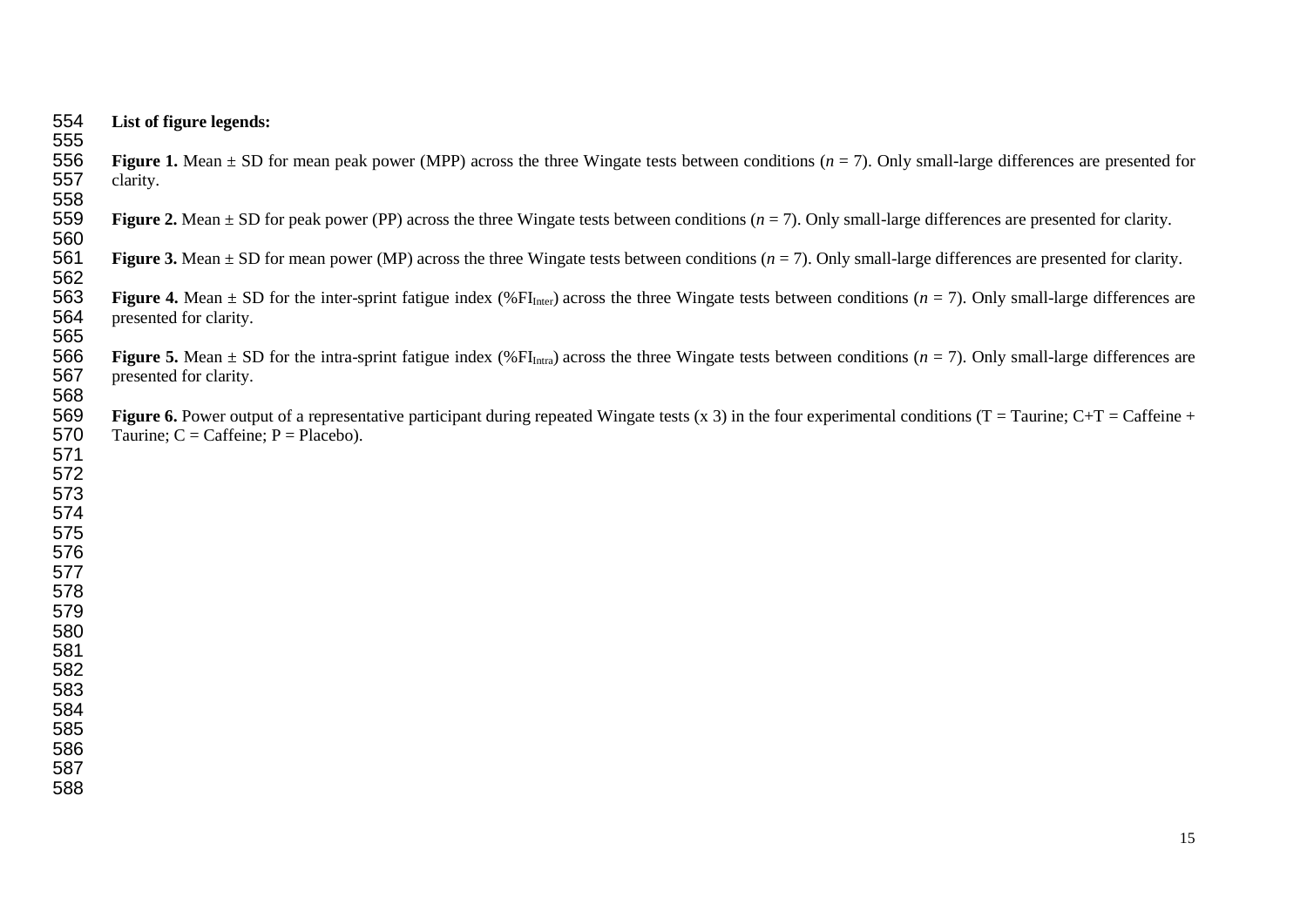| 554               |                                                                                                                                                                                                                                  |
|-------------------|----------------------------------------------------------------------------------------------------------------------------------------------------------------------------------------------------------------------------------|
| 555               | List of figure legends:                                                                                                                                                                                                          |
| 556<br>557<br>558 | Figure 1. Mean $\pm$ SD for mean peak power (MPP) across the three Wingate tests between conditions ( $n = 7$ ). Only small-large differences are presented for<br>clarity.                                                      |
| 559<br>560        | <b>Figure 2.</b> Mean $\pm$ SD for peak power (PP) across the three Wingate tests between conditions ( $n = 7$ ). Only small-large differences are presented for clarity.                                                        |
| 561<br>562        | Figure 3. Mean $\pm$ SD for mean power (MP) across the three Wingate tests between conditions ( $n = 7$ ). Only small-large differences are presented for clarity.                                                               |
| 563<br>564        | Figure 4. Mean $\pm$ SD for the inter-sprint fatigue index (% FI <sub>Inter</sub> ) across the three Wingate tests between conditions ( $n = 7$ ). Only small-large differences are<br>presented for clarity.                    |
| 565<br>566<br>567 | Figure 5. Mean $\pm$ SD for the intra-sprint fatigue index (%FI <sub>Intra</sub> ) across the three Wingate tests between conditions ( $n = 7$ ). Only small-large differences are                                               |
| 568               | presented for clarity.                                                                                                                                                                                                           |
| 569<br>570        | Figure 6. Power output of a representative participant during repeated Wingate tests (x 3) in the four experimental conditions ( $T = Taurine$ ; $C+T = C$ affeine +<br>Taurine; $C = \text{Caffeine}$ ; $P = \text{Placebo}$ ). |
| 571               |                                                                                                                                                                                                                                  |
| 572               |                                                                                                                                                                                                                                  |
| 573               |                                                                                                                                                                                                                                  |
| 574               |                                                                                                                                                                                                                                  |
| 575<br>576        |                                                                                                                                                                                                                                  |
| 577               |                                                                                                                                                                                                                                  |
| 578               |                                                                                                                                                                                                                                  |
| 579               |                                                                                                                                                                                                                                  |
| 580               |                                                                                                                                                                                                                                  |
| 581               |                                                                                                                                                                                                                                  |
| 582               |                                                                                                                                                                                                                                  |
| 583               |                                                                                                                                                                                                                                  |
| 584               |                                                                                                                                                                                                                                  |
| 585               |                                                                                                                                                                                                                                  |
| 586<br>587        |                                                                                                                                                                                                                                  |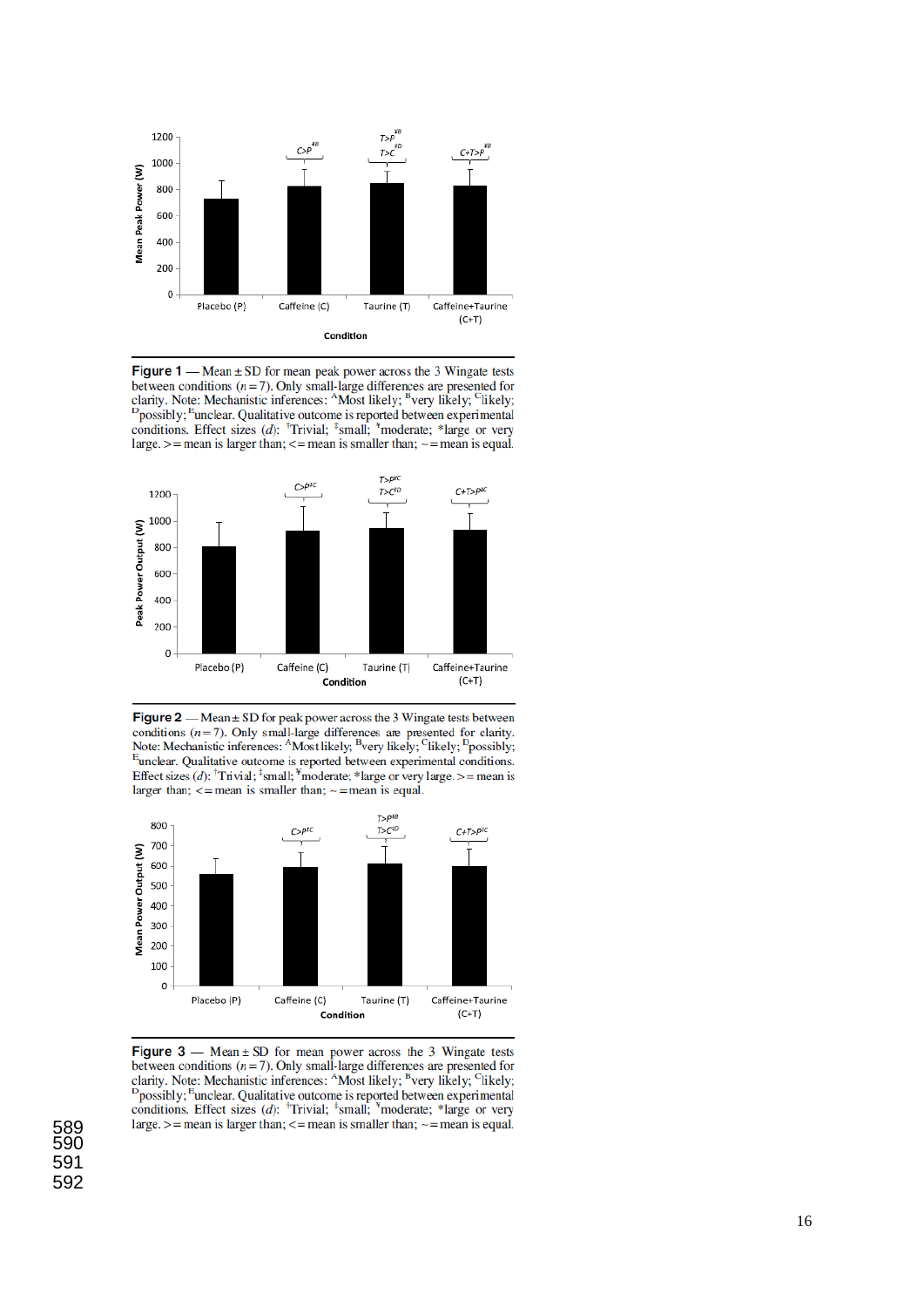

Figure  $1$  — Mean  $\pm$  SD for mean peak power across the 3 Wingate tests between conditions ( $n=7$ ). Only small-large differences are presented for clarity. Note: Mechanistic inferences: <sup>A</sup>Most likely; <sup>B</sup>very likely; <sup>C</sup>likely; <sup>D</sup>possibly; <sup>E</sup>unclear. Qualitative outcome is reported between experimental conditions. Effect sizes (d): <sup>†</sup>Trivial; <sup>‡</sup>small; <sup>\*</sup>moderate; \*large or very large.  $>$  = mean is larger than;  $<$  = mean is smaller than;  $\sim$  = mean is equal.



Figure  $2$  — Mean  $\pm$  SD for peak power across the 3 Wingate tests between conditions  $(n=7)$ . Only small-large differences are presented for clarity. Note: Mechanistic inferences: <sup>A</sup>Most likely; <sup>B</sup>very likely; <sup>C</sup>likely; <sup>D</sup>possibly; <sup>E</sup>unclear. Qualitative outcome is reported between experimental conditions. Effect sizes (d): <sup>†</sup>Trivial; <sup>‡</sup>small; <sup>\*</sup>moderate; \*large or very large. >= mean is larger than;  $\le$  = mean is smaller than;  $\sim$  = mean is equal.



Figure  $3$  — Mean  $\pm$  SD for mean power across the 3 Wingate tests between conditions ( $n = 7$ ). Only small-large differences are presented for clarity. Note: Mechanistic inferences:  $^{A}$ Most likely;  $^{B}$ very likely;  $^{C}$ likely; <sup>D</sup>possibly; <sup>E</sup>unclear. Qualitative outcome is reported between experimental conditions. Effect sizes (d):  $<sup>†</sup>$ Trivial;  $<sup>‡</sup>$ small;  $<sup>∗</sup>$ moderate; \*large or very</sup></sup></sup> large.  $>$  = mean is larger than;  $<=$  mean is smaller than;  $\sim$  = mean is equal.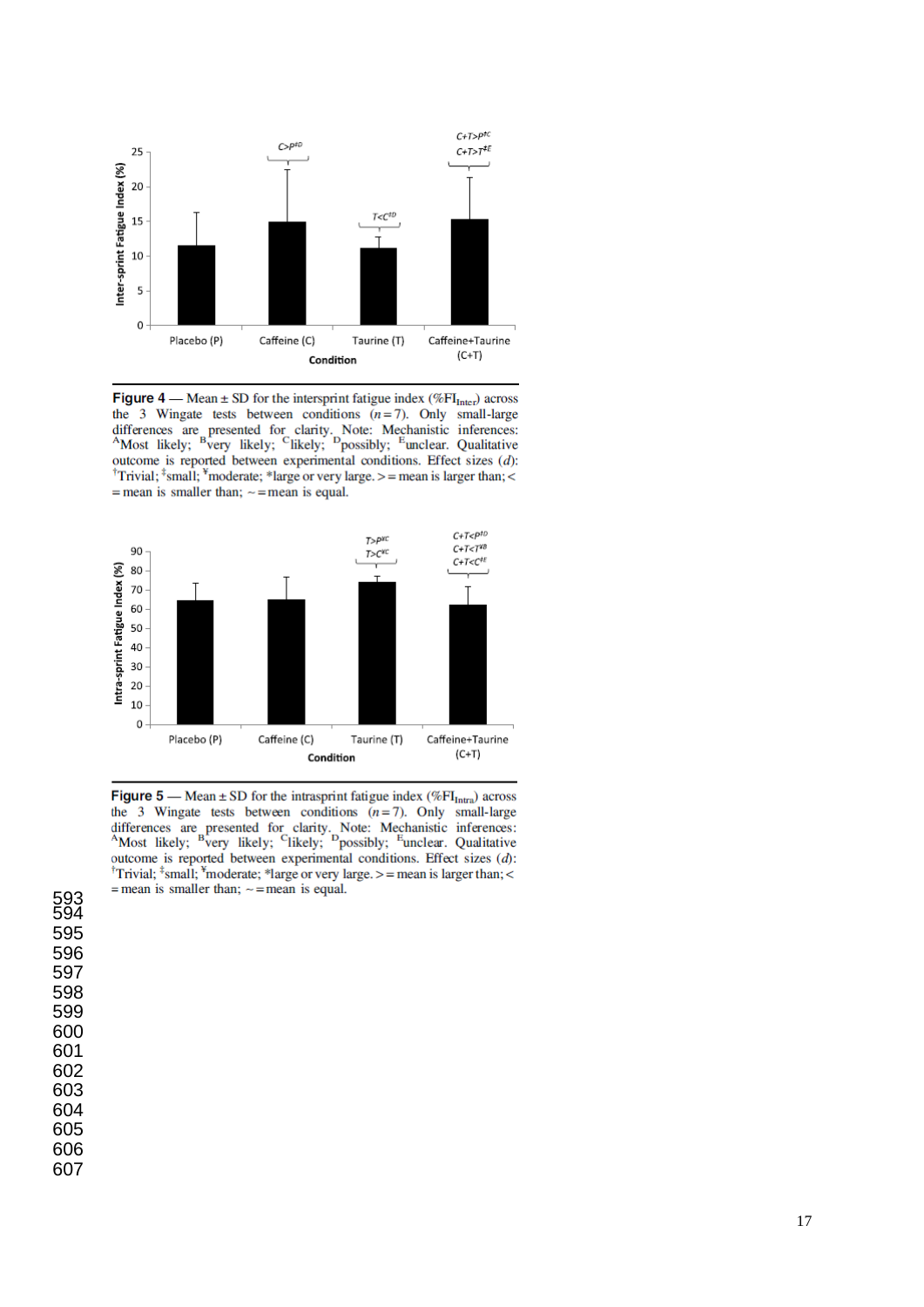

**Figure 4** — Mean  $\pm$  SD for the intersprint fatigue index (%FI<sub>Inter</sub>) across the 3 Wingate tests between conditions  $(n=7)$ . Only small-large differences are presented for clarity. Note: Mechanistic inferences:<br>AMost likely; <sup>B</sup>very likely; <sup>C</sup>likely; <sup>D</sup>possibly; <sup>E</sup>unclear. Qualitative outcome is reported between experimental conditions. Effect sizes  $(d)$ : <sup>†</sup>Trivial; <sup>‡</sup>small; <sup>\*</sup>moderate; \*large or very large. > = mean is larger than; < = mean is smaller than;  $\sim$  = mean is equal.



**Figure 5** — Mean  $\pm$  SD for the intrasprint fatigue index (%FI<sub>Intra</sub>) across the 3 Wingate tests between conditions  $(n=7)$ . Only small-large differences are presented for clarity. Note: Mechanistic inferences: AMost likely; <sup>B</sup>very likely; <sup>C</sup>likely; <sup>D</sup>possibly; <sup>E</sup>unclear. Qualitative outcome is reported between experimental conditions. Effect sizes  $(d)$ : <sup>†</sup>Trivial; <sup>‡</sup>small; <sup>\*</sup>moderate; \*large or very large. > = mean is larger than; < = mean is smaller than;  $\sim$  = mean is equal.